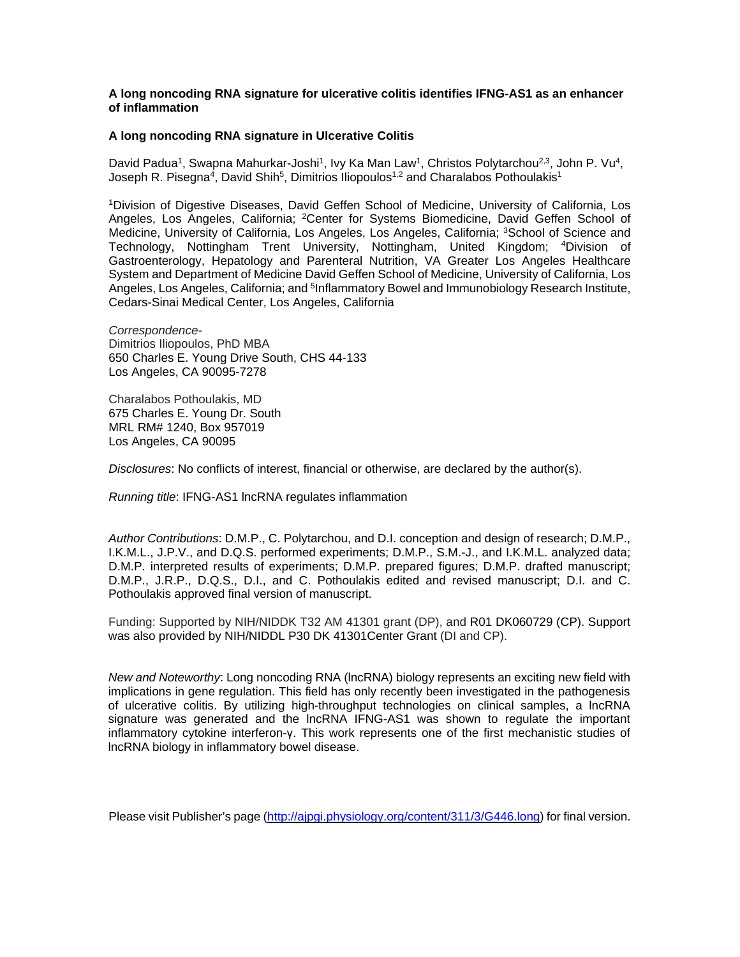### **A long noncoding RNA signature for ulcerative colitis identifies IFNG-AS1 as an enhancer of inflammation**

### **A long noncoding RNA signature in Ulcerative Colitis**

David Padua<sup>1</sup>, Swapna Mahurkar-Joshi<sup>1</sup>, Ivy Ka Man Law<sup>1</sup>, Christos Polytarchou<sup>2,3</sup>, John P. Vu<sup>4</sup>, Joseph R. Pisegna<sup>4</sup>, David Shih<sup>5</sup>, Dimitrios Iliopoulos<sup>1,2</sup> and Charalabos Pothoulakis<sup>1</sup>

1Division of Digestive Diseases, David Geffen School of Medicine, University of California, Los Angeles, Los Angeles, California; <sup>2</sup>Center for Systems Biomedicine, David Geffen School of Medicine, University of California, Los Angeles, Los Angeles, California; 3School of Science and Technology, Nottingham Trent University, Nottingham, United Kingdom; 4Division of Gastroenterology, Hepatology and Parenteral Nutrition, VA Greater Los Angeles Healthcare System and Department of Medicine David Geffen School of Medicine, University of California, Los Angeles, Los Angeles, California; and <sup>5</sup>Inflammatory Bowel and Immunobiology Research Institute, Cedars-Sinai Medical Center, Los Angeles, California

*Correspondence*-Dimitrios Iliopoulos, PhD MBA 650 Charles E. Young Drive South, CHS 44-133 Los Angeles, CA 90095-7278

Charalabos Pothoulakis, MD 675 Charles E. Young Dr. South MRL RM# 1240, Box 957019 Los Angeles, CA 90095

*Disclosures*: No conflicts of interest, financial or otherwise, are declared by the author(s).

*Running title*: IFNG-AS1 lncRNA regulates inflammation

*Author Contributions*: D.M.P., C. Polytarchou, and D.I. conception and design of research; D.M.P., I.K.M.L., J.P.V., and D.Q.S. performed experiments; D.M.P., S.M.-J., and I.K.M.L. analyzed data; D.M.P. interpreted results of experiments; D.M.P. prepared figures; D.M.P. drafted manuscript; D.M.P., J.R.P., D.Q.S., D.I., and C. Pothoulakis edited and revised manuscript; D.I. and C. Pothoulakis approved final version of manuscript.

Funding: Supported by NIH/NIDDK T32 AM 41301 grant (DP), and R01 DK060729 (CP). Support was also provided by NIH/NIDDL P30 DK 41301Center Grant (DI and CP).

*New and Noteworthy*: Long noncoding RNA (lncRNA) biology represents an exciting new field with implications in gene regulation. This field has only recently been investigated in the pathogenesis of ulcerative colitis. By utilizing high-throughput technologies on clinical samples, a lncRNA signature was generated and the lncRNA IFNG-AS1 was shown to regulate the important inflammatory cytokine interferon-γ. This work represents one of the first mechanistic studies of lncRNA biology in inflammatory bowel disease.

Please visit Publisher's page [\(http://ajpgi.physiology.org/content/311/3/G446.long\)](http://ajpgi.physiology.org/content/311/3/G446.long) for final version.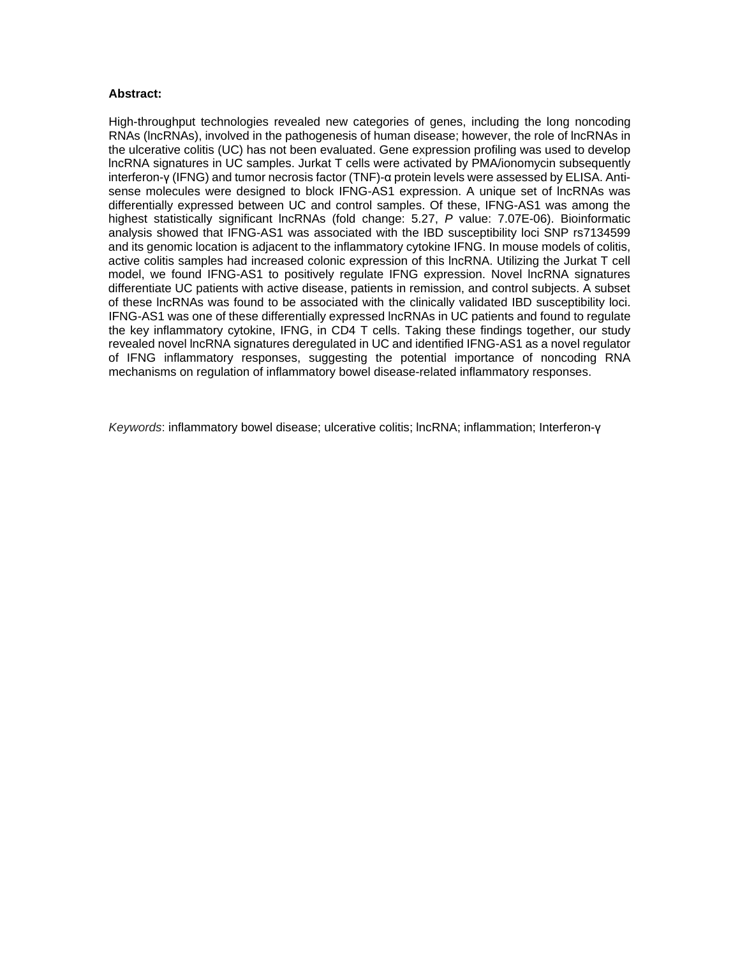### **Abstract:**

High-throughput technologies revealed new categories of genes, including the long noncoding RNAs (lncRNAs), involved in the pathogenesis of human disease; however, the role of lncRNAs in the ulcerative colitis (UC) has not been evaluated. Gene expression profiling was used to develop lncRNA signatures in UC samples. Jurkat T cells were activated by PMA/ionomycin subsequently interferon-γ (IFNG) and tumor necrosis factor (TNF)-α protein levels were assessed by ELISA. Antisense molecules were designed to block IFNG-AS1 expression. A unique set of lncRNAs was differentially expressed between UC and control samples. Of these, IFNG-AS1 was among the highest statistically significant lncRNAs (fold change: 5.27, *P* value: 7.07E-06). Bioinformatic analysis showed that IFNG-AS1 was associated with the IBD susceptibility loci SNP rs7134599 and its genomic location is adjacent to the inflammatory cytokine IFNG. In mouse models of colitis, active colitis samples had increased colonic expression of this lncRNA. Utilizing the Jurkat T cell model, we found IFNG-AS1 to positively regulate IFNG expression. Novel lncRNA signatures differentiate UC patients with active disease, patients in remission, and control subjects. A subset of these lncRNAs was found to be associated with the clinically validated IBD susceptibility loci. IFNG-AS1 was one of these differentially expressed lncRNAs in UC patients and found to regulate the key inflammatory cytokine, IFNG, in CD4 T cells. Taking these findings together, our study revealed novel lncRNA signatures deregulated in UC and identified IFNG-AS1 as a novel regulator of IFNG inflammatory responses, suggesting the potential importance of noncoding RNA mechanisms on regulation of inflammatory bowel disease-related inflammatory responses.

*Keywords*: inflammatory bowel disease; ulcerative colitis; lncRNA; inflammation; Interferon-γ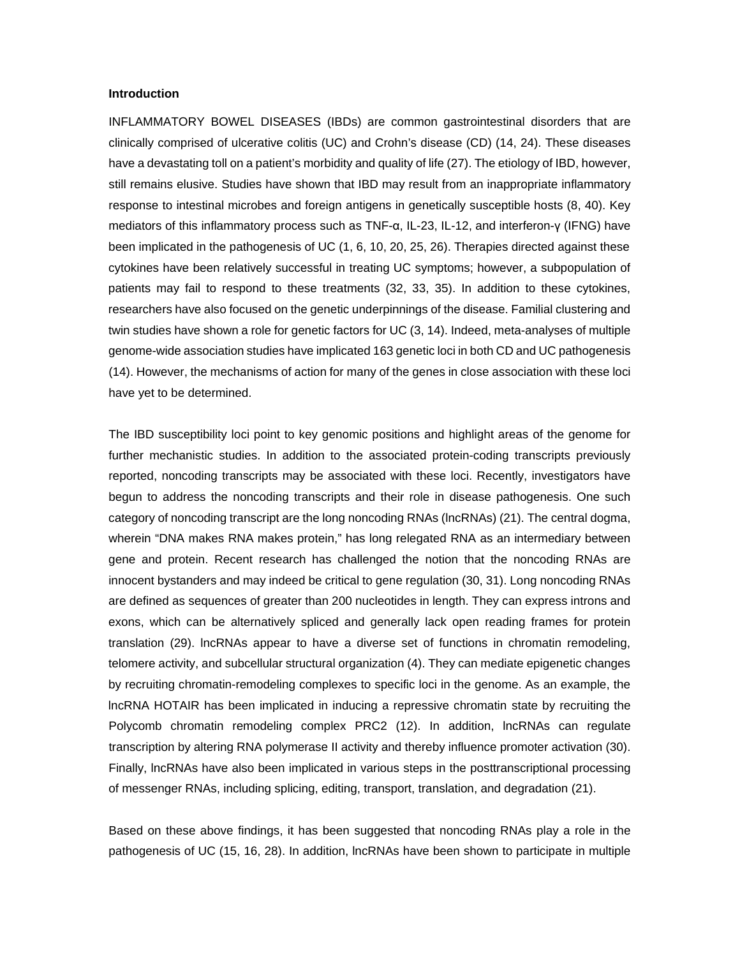#### **Introduction**

INFLAMMATORY BOWEL DISEASES (IBDs) are common gastrointestinal disorders that are clinically comprised of ulcerative colitis (UC) and Crohn's disease (CD) (14, 24). These diseases have a devastating toll on a patient's morbidity and quality of life (27). The etiology of IBD, however, still remains elusive. Studies have shown that IBD may result from an inappropriate inflammatory response to intestinal microbes and foreign antigens in genetically susceptible hosts (8, 40). Key mediators of this inflammatory process such as TNF-α, IL-23, IL-12, and interferon-γ (IFNG) have been implicated in the pathogenesis of UC (1, 6, 10, 20, 25, 26). Therapies directed against these cytokines have been relatively successful in treating UC symptoms; however, a subpopulation of patients may fail to respond to these treatments (32, 33, 35). In addition to these cytokines, researchers have also focused on the genetic underpinnings of the disease. Familial clustering and twin studies have shown a role for genetic factors for UC (3, 14). Indeed, meta-analyses of multiple genome-wide association studies have implicated 163 genetic loci in both CD and UC pathogenesis (14). However, the mechanisms of action for many of the genes in close association with these loci have yet to be determined.

The IBD susceptibility loci point to key genomic positions and highlight areas of the genome for further mechanistic studies. In addition to the associated protein-coding transcripts previously reported, noncoding transcripts may be associated with these loci. Recently, investigators have begun to address the noncoding transcripts and their role in disease pathogenesis. One such category of noncoding transcript are the long noncoding RNAs (lncRNAs) (21). The central dogma, wherein "DNA makes RNA makes protein," has long relegated RNA as an intermediary between gene and protein. Recent research has challenged the notion that the noncoding RNAs are innocent bystanders and may indeed be critical to gene regulation (30, 31). Long noncoding RNAs are defined as sequences of greater than 200 nucleotides in length. They can express introns and exons, which can be alternatively spliced and generally lack open reading frames for protein translation (29). lncRNAs appear to have a diverse set of functions in chromatin remodeling, telomere activity, and subcellular structural organization (4). They can mediate epigenetic changes by recruiting chromatin-remodeling complexes to specific loci in the genome. As an example, the lncRNA HOTAIR has been implicated in inducing a repressive chromatin state by recruiting the Polycomb chromatin remodeling complex PRC2 (12). In addition, lncRNAs can regulate transcription by altering RNA polymerase II activity and thereby influence promoter activation (30). Finally, lncRNAs have also been implicated in various steps in the posttranscriptional processing of messenger RNAs, including splicing, editing, transport, translation, and degradation (21).

Based on these above findings, it has been suggested that noncoding RNAs play a role in the pathogenesis of UC (15, 16, 28). In addition, lncRNAs have been shown to participate in multiple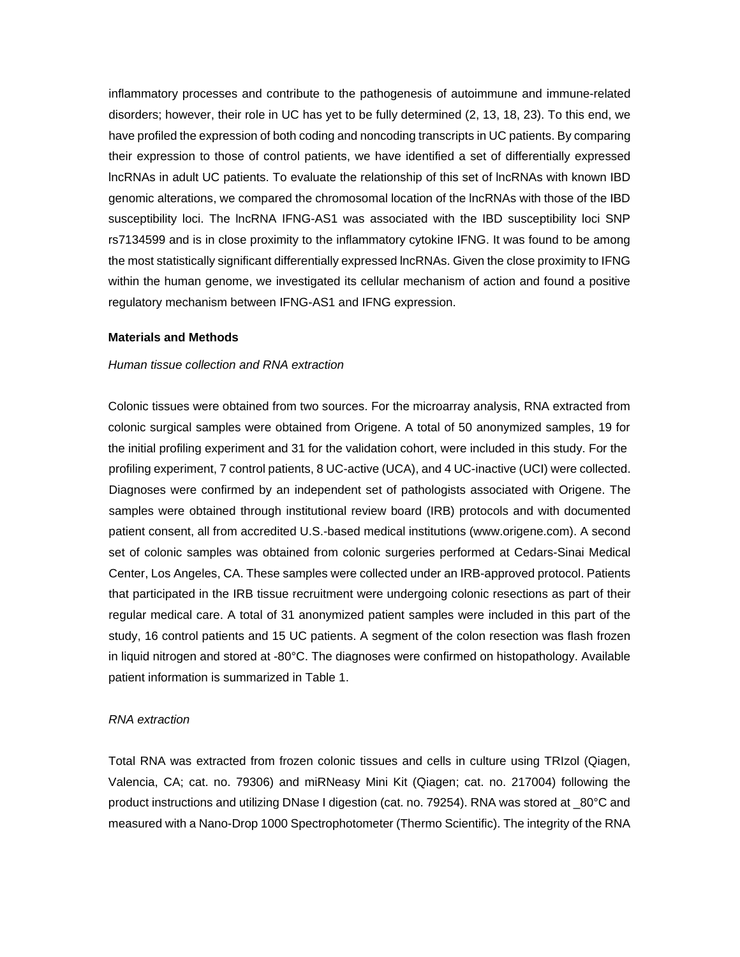inflammatory processes and contribute to the pathogenesis of autoimmune and immune-related disorders; however, their role in UC has yet to be fully determined (2, 13, 18, 23). To this end, we have profiled the expression of both coding and noncoding transcripts in UC patients. By comparing their expression to those of control patients, we have identified a set of differentially expressed lncRNAs in adult UC patients. To evaluate the relationship of this set of lncRNAs with known IBD genomic alterations, we compared the chromosomal location of the lncRNAs with those of the IBD susceptibility loci. The lncRNA IFNG-AS1 was associated with the IBD susceptibility loci SNP rs7134599 and is in close proximity to the inflammatory cytokine IFNG. It was found to be among the most statistically significant differentially expressed lncRNAs. Given the close proximity to IFNG within the human genome, we investigated its cellular mechanism of action and found a positive regulatory mechanism between IFNG-AS1 and IFNG expression.

#### **Materials and Methods**

#### *Human tissue collection and RNA extraction*

Colonic tissues were obtained from two sources. For the microarray analysis, RNA extracted from colonic surgical samples were obtained from Origene. A total of 50 anonymized samples, 19 for the initial profiling experiment and 31 for the validation cohort, were included in this study. For the profiling experiment, 7 control patients, 8 UC-active (UCA), and 4 UC-inactive (UCI) were collected. Diagnoses were confirmed by an independent set of pathologists associated with Origene. The samples were obtained through institutional review board (IRB) protocols and with documented patient consent, all from accredited U.S.-based medical institutions (www.origene.com). A second set of colonic samples was obtained from colonic surgeries performed at Cedars-Sinai Medical Center, Los Angeles, CA. These samples were collected under an IRB-approved protocol. Patients that participated in the IRB tissue recruitment were undergoing colonic resections as part of their regular medical care. A total of 31 anonymized patient samples were included in this part of the study, 16 control patients and 15 UC patients. A segment of the colon resection was flash frozen in liquid nitrogen and stored at -80°C. The diagnoses were confirmed on histopathology. Available patient information is summarized in Table 1.

#### *RNA extraction*

Total RNA was extracted from frozen colonic tissues and cells in culture using TRIzol (Qiagen, Valencia, CA; cat. no. 79306) and miRNeasy Mini Kit (Qiagen; cat. no. 217004) following the product instructions and utilizing DNase I digestion (cat. no. 79254). RNA was stored at \_80°C and measured with a Nano-Drop 1000 Spectrophotometer (Thermo Scientific). The integrity of the RNA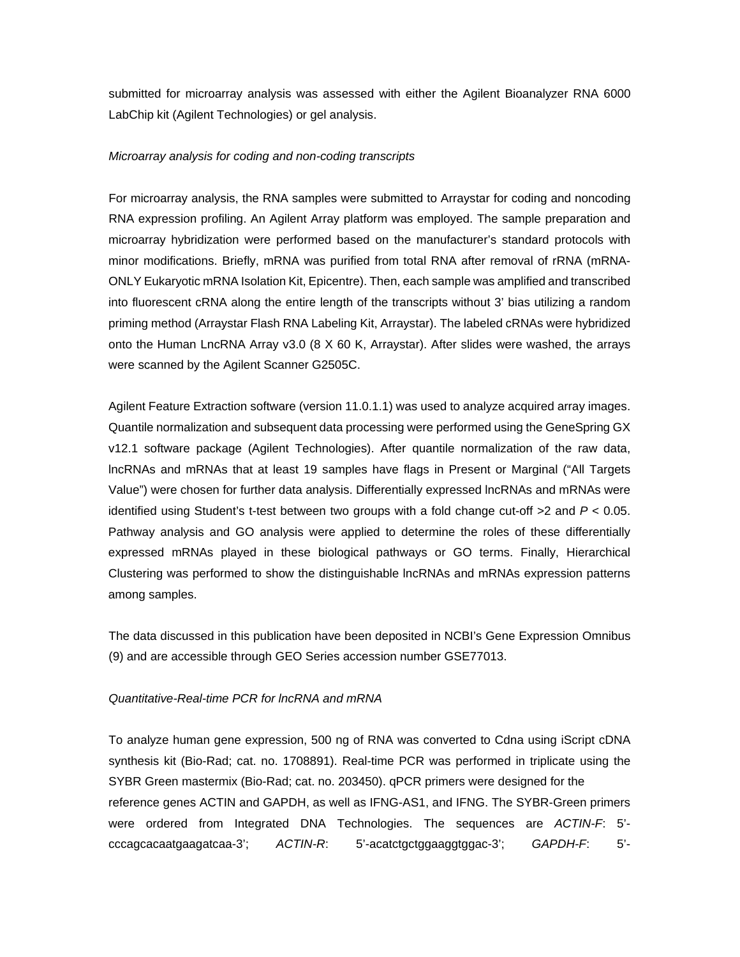submitted for microarray analysis was assessed with either the Agilent Bioanalyzer RNA 6000 LabChip kit (Agilent Technologies) or gel analysis.

## *Microarray analysis for coding and non-coding transcripts*

For microarray analysis, the RNA samples were submitted to Arraystar for coding and noncoding RNA expression profiling. An Agilent Array platform was employed. The sample preparation and microarray hybridization were performed based on the manufacturer's standard protocols with minor modifications. Briefly, mRNA was purified from total RNA after removal of rRNA (mRNA-ONLY Eukaryotic mRNA Isolation Kit, Epicentre). Then, each sample was amplified and transcribed into fluorescent cRNA along the entire length of the transcripts without 3' bias utilizing a random priming method (Arraystar Flash RNA Labeling Kit, Arraystar). The labeled cRNAs were hybridized onto the Human LncRNA Array v3.0 (8 X 60 K, Arraystar). After slides were washed, the arrays were scanned by the Agilent Scanner G2505C.

Agilent Feature Extraction software (version 11.0.1.1) was used to analyze acquired array images. Quantile normalization and subsequent data processing were performed using the GeneSpring GX v12.1 software package (Agilent Technologies). After quantile normalization of the raw data, lncRNAs and mRNAs that at least 19 samples have flags in Present or Marginal ("All Targets Value") were chosen for further data analysis. Differentially expressed lncRNAs and mRNAs were identified using Student's t-test between two groups with a fold change cut-off >2 and *P* < 0.05. Pathway analysis and GO analysis were applied to determine the roles of these differentially expressed mRNAs played in these biological pathways or GO terms. Finally, Hierarchical Clustering was performed to show the distinguishable lncRNAs and mRNAs expression patterns among samples.

The data discussed in this publication have been deposited in NCBI's Gene Expression Omnibus (9) and are accessible through GEO Series accession number GSE77013.

## *Quantitative-Real-time PCR for lncRNA and mRNA*

To analyze human gene expression, 500 ng of RNA was converted to Cdna using iScript cDNA synthesis kit (Bio-Rad; cat. no. 1708891). Real-time PCR was performed in triplicate using the SYBR Green mastermix (Bio-Rad; cat. no. 203450). qPCR primers were designed for the reference genes ACTIN and GAPDH, as well as IFNG-AS1, and IFNG. The SYBR-Green primers were ordered from Integrated DNA Technologies. The sequences are *ACTIN-F*: 5' cccagcacaatgaagatcaa-3'; *ACTIN-R*: 5'-acatctgctggaaggtggac-3'; *GAPDH-F*: 5'-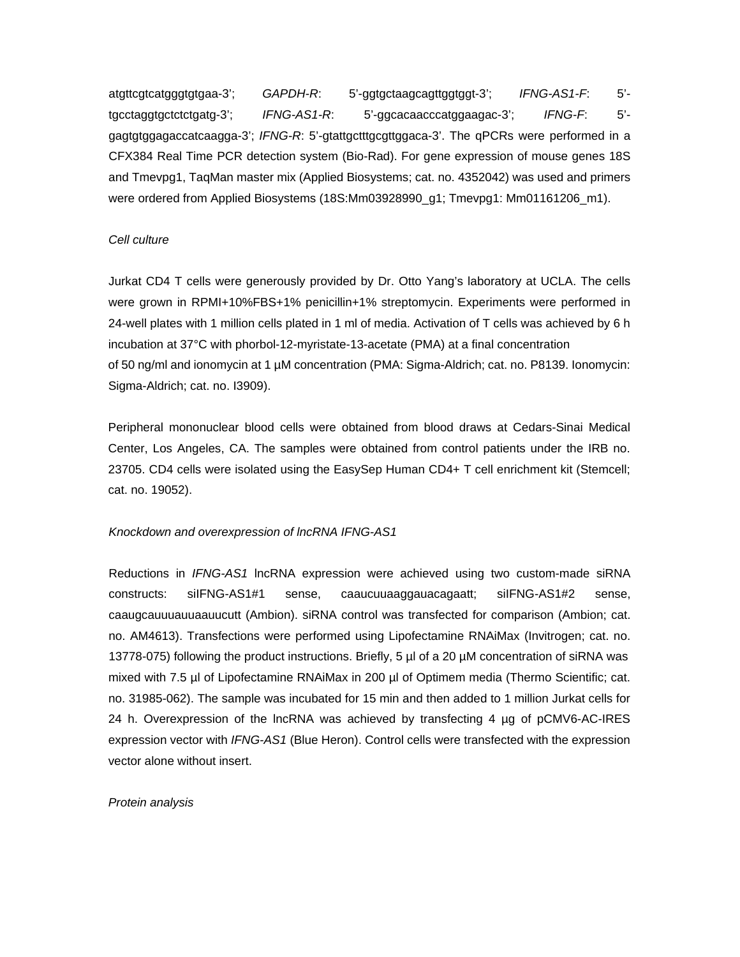atgttcgtcatgggtgtgaa-3'; *GAPDH-R*: 5'-ggtgctaagcagttggtggt-3'; *IFNG-AS1-F*: 5' tgcctaggtgctctctgatg-3'; *IFNG-AS1-R*: 5'-ggcacaacccatggaagac-3'; *IFNG-F*: 5' gagtgtggagaccatcaagga-3'; *IFNG-R*: 5'-gtattgctttgcgttggaca-3'. The qPCRs were performed in a CFX384 Real Time PCR detection system (Bio-Rad). For gene expression of mouse genes 18S and Tmevpg1, TaqMan master mix (Applied Biosystems; cat. no. 4352042) was used and primers were ordered from Applied Biosystems (18S:Mm03928990\_q1; Tmevpg1: Mm01161206\_m1).

## *Cell culture*

Jurkat CD4 T cells were generously provided by Dr. Otto Yang's laboratory at UCLA. The cells were grown in RPMI+10%FBS+1% penicillin+1% streptomycin. Experiments were performed in 24-well plates with 1 million cells plated in 1 ml of media. Activation of T cells was achieved by 6 h incubation at 37°C with phorbol-12-myristate-13-acetate (PMA) at a final concentration of 50 ng/ml and ionomycin at 1 µM concentration (PMA: Sigma-Aldrich; cat. no. P8139. Ionomycin: Sigma-Aldrich; cat. no. I3909).

Peripheral mononuclear blood cells were obtained from blood draws at Cedars-Sinai Medical Center, Los Angeles, CA. The samples were obtained from control patients under the IRB no. 23705. CD4 cells were isolated using the EasySep Human CD4+ T cell enrichment kit (Stemcell; cat. no. 19052).

## *Knockdown and overexpression of lncRNA IFNG-AS1*

Reductions in *IFNG-AS1* lncRNA expression were achieved using two custom-made siRNA constructs: siIFNG-AS1#1 sense, caaucuuaaggauacagaatt; siIFNG-AS1#2 sense, caaugcauuuauuaauucutt (Ambion). siRNA control was transfected for comparison (Ambion; cat. no. AM4613). Transfections were performed using Lipofectamine RNAiMax (Invitrogen; cat. no. 13778-075) following the product instructions. Briefly, 5 µl of a 20 µM concentration of siRNA was mixed with 7.5 µl of Lipofectamine RNAiMax in 200 µl of Optimem media (Thermo Scientific; cat. no. 31985-062). The sample was incubated for 15 min and then added to 1 million Jurkat cells for 24 h. Overexpression of the lncRNA was achieved by transfecting 4 µg of pCMV6-AC-IRES expression vector with *IFNG-AS1* (Blue Heron). Control cells were transfected with the expression vector alone without insert.

### *Protein analysis*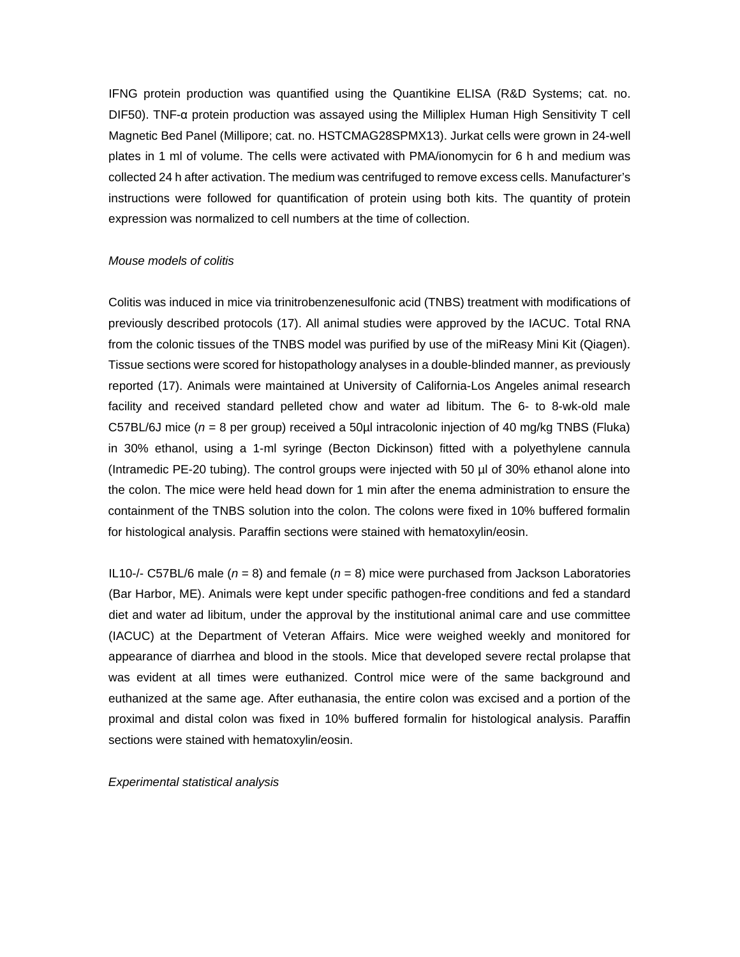IFNG protein production was quantified using the Quantikine ELISA (R&D Systems; cat. no. DIF50). TNF-α protein production was assayed using the Milliplex Human High Sensitivity T cell Magnetic Bed Panel (Millipore; cat. no. HSTCMAG28SPMX13). Jurkat cells were grown in 24-well plates in 1 ml of volume. The cells were activated with PMA/ionomycin for 6 h and medium was collected 24 h after activation. The medium was centrifuged to remove excess cells. Manufacturer's instructions were followed for quantification of protein using both kits. The quantity of protein expression was normalized to cell numbers at the time of collection.

#### *Mouse models of colitis*

Colitis was induced in mice via trinitrobenzenesulfonic acid (TNBS) treatment with modifications of previously described protocols (17). All animal studies were approved by the IACUC. Total RNA from the colonic tissues of the TNBS model was purified by use of the miReasy Mini Kit (Qiagen). Tissue sections were scored for histopathology analyses in a double-blinded manner, as previously reported (17). Animals were maintained at University of California-Los Angeles animal research facility and received standard pelleted chow and water ad libitum. The 6- to 8-wk-old male C57BL/6J mice (*n* = 8 per group) received a 50µl intracolonic injection of 40 mg/kg TNBS (Fluka) in 30% ethanol, using a 1-ml syringe (Becton Dickinson) fitted with a polyethylene cannula (Intramedic PE-20 tubing). The control groups were injected with 50 µl of 30% ethanol alone into the colon. The mice were held head down for 1 min after the enema administration to ensure the containment of the TNBS solution into the colon. The colons were fixed in 10% buffered formalin for histological analysis. Paraffin sections were stained with hematoxylin/eosin.

IL10-/- C57BL/6 male (*n* = 8) and female (*n* = 8) mice were purchased from Jackson Laboratories (Bar Harbor, ME). Animals were kept under specific pathogen-free conditions and fed a standard diet and water ad libitum, under the approval by the institutional animal care and use committee (IACUC) at the Department of Veteran Affairs. Mice were weighed weekly and monitored for appearance of diarrhea and blood in the stools. Mice that developed severe rectal prolapse that was evident at all times were euthanized. Control mice were of the same background and euthanized at the same age. After euthanasia, the entire colon was excised and a portion of the proximal and distal colon was fixed in 10% buffered formalin for histological analysis. Paraffin sections were stained with hematoxylin/eosin.

*Experimental statistical analysis*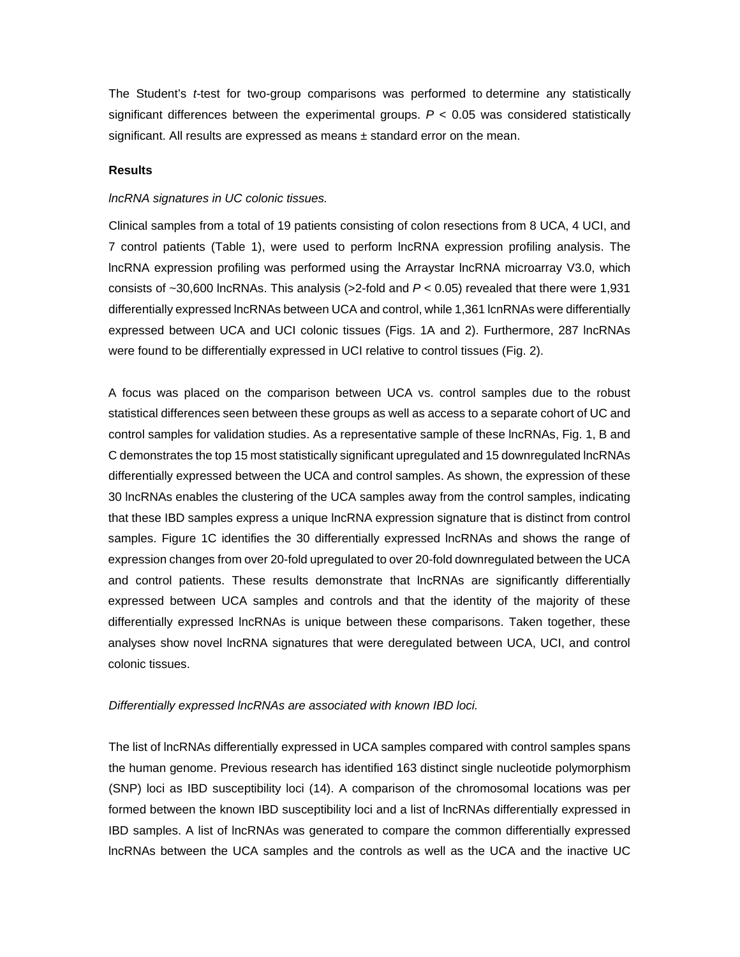The Student's *t-*test for two-group comparisons was performed to determine any statistically significant differences between the experimental groups. *P* < 0.05 was considered statistically significant. All results are expressed as means ± standard error on the mean.

#### **Results**

#### *lncRNA signatures in UC colonic tissues.*

Clinical samples from a total of 19 patients consisting of colon resections from 8 UCA, 4 UCI, and 7 control patients (Table 1), were used to perform lncRNA expression profiling analysis. The lncRNA expression profiling was performed using the Arraystar lncRNA microarray V3.0, which consists of ~30,600 lncRNAs. This analysis (>2-fold and *P* < 0.05) revealed that there were 1,931 differentially expressed lncRNAs between UCA and control, while 1,361 lcnRNAs were differentially expressed between UCA and UCI colonic tissues (Figs. 1A and 2). Furthermore, 287 lncRNAs were found to be differentially expressed in UCI relative to control tissues (Fig. 2).

A focus was placed on the comparison between UCA vs. control samples due to the robust statistical differences seen between these groups as well as access to a separate cohort of UC and control samples for validation studies. As a representative sample of these lncRNAs, Fig. 1, B and C demonstrates the top 15 most statistically significant upregulated and 15 downregulated lncRNAs differentially expressed between the UCA and control samples. As shown, the expression of these 30 lncRNAs enables the clustering of the UCA samples away from the control samples, indicating that these IBD samples express a unique lncRNA expression signature that is distinct from control samples. Figure 1C identifies the 30 differentially expressed lncRNAs and shows the range of expression changes from over 20-fold upregulated to over 20-fold downregulated between the UCA and control patients. These results demonstrate that lncRNAs are significantly differentially expressed between UCA samples and controls and that the identity of the majority of these differentially expressed lncRNAs is unique between these comparisons. Taken together, these analyses show novel lncRNA signatures that were deregulated between UCA, UCI, and control colonic tissues.

#### *Differentially expressed lncRNAs are associated with known IBD loci.*

The list of lncRNAs differentially expressed in UCA samples compared with control samples spans the human genome. Previous research has identified 163 distinct single nucleotide polymorphism (SNP) loci as IBD susceptibility loci (14). A comparison of the chromosomal locations was per formed between the known IBD susceptibility loci and a list of lncRNAs differentially expressed in IBD samples. A list of lncRNAs was generated to compare the common differentially expressed lncRNAs between the UCA samples and the controls as well as the UCA and the inactive UC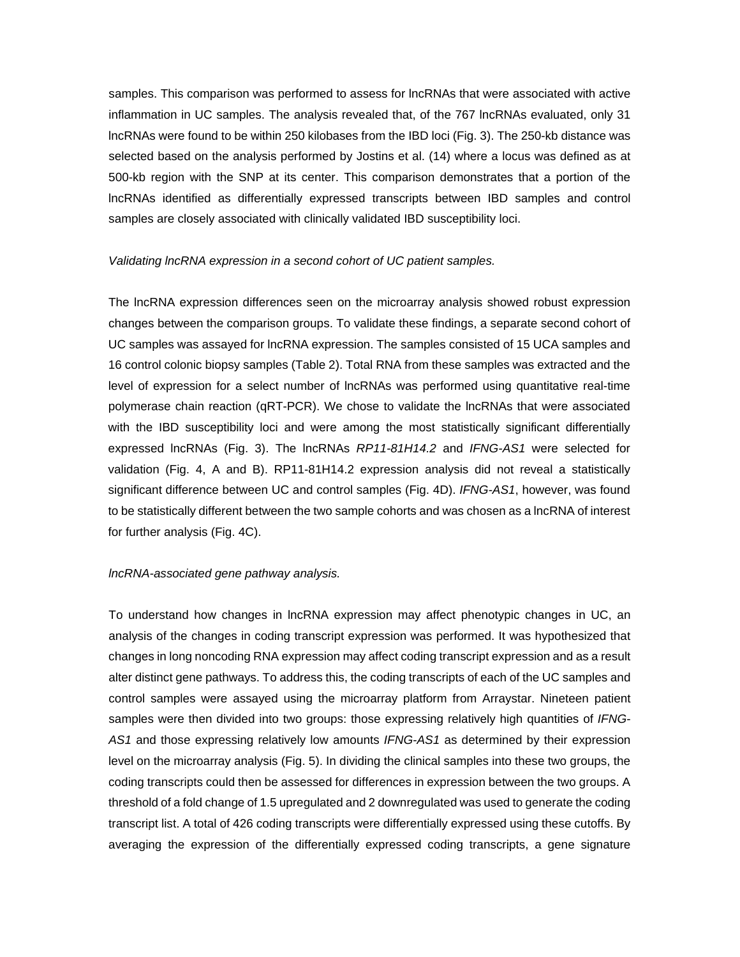samples. This comparison was performed to assess for lncRNAs that were associated with active inflammation in UC samples. The analysis revealed that, of the 767 lncRNAs evaluated, only 31 lncRNAs were found to be within 250 kilobases from the IBD loci (Fig. 3). The 250-kb distance was selected based on the analysis performed by Jostins et al. (14) where a locus was defined as at 500-kb region with the SNP at its center. This comparison demonstrates that a portion of the lncRNAs identified as differentially expressed transcripts between IBD samples and control samples are closely associated with clinically validated IBD susceptibility loci.

#### *Validating lncRNA expression in a second cohort of UC patient samples.*

The lncRNA expression differences seen on the microarray analysis showed robust expression changes between the comparison groups. To validate these findings, a separate second cohort of UC samples was assayed for lncRNA expression. The samples consisted of 15 UCA samples and 16 control colonic biopsy samples (Table 2). Total RNA from these samples was extracted and the level of expression for a select number of lncRNAs was performed using quantitative real-time polymerase chain reaction (qRT-PCR). We chose to validate the lncRNAs that were associated with the IBD susceptibility loci and were among the most statistically significant differentially expressed lncRNAs (Fig. 3). The lncRNAs *RP11-81H14.2* and *IFNG-AS1* were selected for validation (Fig. 4, A and B). RP11-81H14.2 expression analysis did not reveal a statistically significant difference between UC and control samples (Fig. 4D). *IFNG-AS1*, however, was found to be statistically different between the two sample cohorts and was chosen as a lncRNA of interest for further analysis (Fig. 4C).

#### *lncRNA-associated gene pathway analysis.*

To understand how changes in lncRNA expression may affect phenotypic changes in UC, an analysis of the changes in coding transcript expression was performed. It was hypothesized that changes in long noncoding RNA expression may affect coding transcript expression and as a result alter distinct gene pathways. To address this, the coding transcripts of each of the UC samples and control samples were assayed using the microarray platform from Arraystar. Nineteen patient samples were then divided into two groups: those expressing relatively high quantities of *IFNG-AS1* and those expressing relatively low amounts *IFNG-AS1* as determined by their expression level on the microarray analysis (Fig. 5). In dividing the clinical samples into these two groups, the coding transcripts could then be assessed for differences in expression between the two groups. A threshold of a fold change of 1.5 upregulated and 2 downregulated was used to generate the coding transcript list. A total of 426 coding transcripts were differentially expressed using these cutoffs. By averaging the expression of the differentially expressed coding transcripts, a gene signature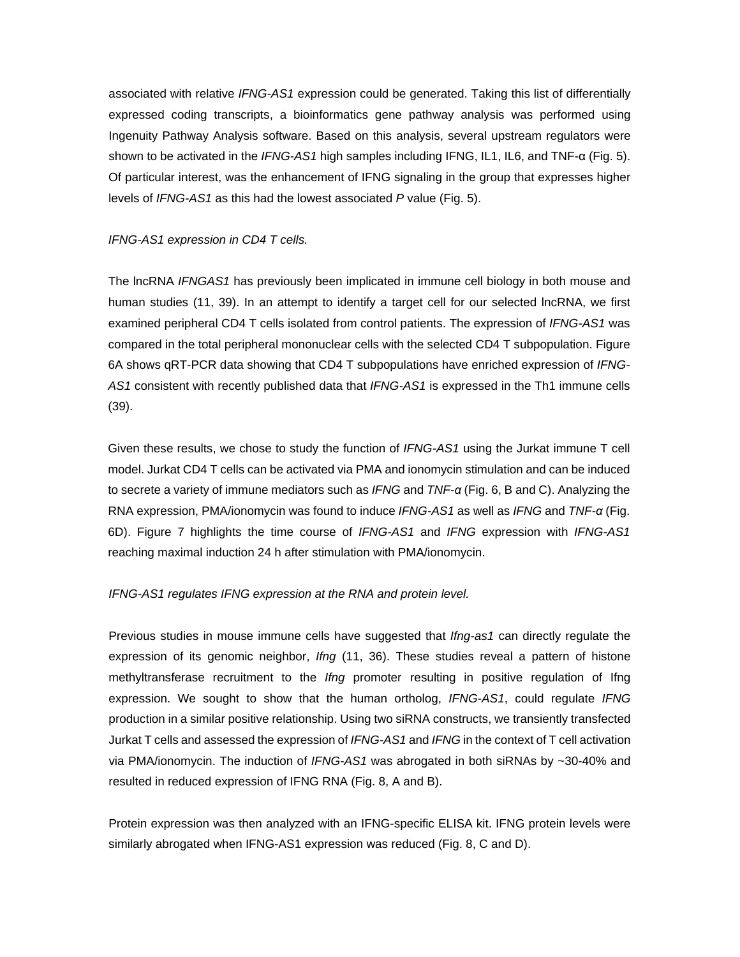associated with relative *IFNG-AS1* expression could be generated. Taking this list of differentially expressed coding transcripts, a bioinformatics gene pathway analysis was performed using Ingenuity Pathway Analysis software. Based on this analysis, several upstream regulators were shown to be activated in the *IFNG-AS1* high samples including IFNG, IL1, IL6, and TNF-α (Fig. 5). Of particular interest, was the enhancement of IFNG signaling in the group that expresses higher levels of *IFNG-AS1* as this had the lowest associated *P* value (Fig. 5).

### *IFNG-AS1 expression in CD4 T cells.*

The lncRNA *IFNGAS1* has previously been implicated in immune cell biology in both mouse and human studies (11, 39). In an attempt to identify a target cell for our selected lncRNA, we first examined peripheral CD4 T cells isolated from control patients. The expression of *IFNG-AS1* was compared in the total peripheral mononuclear cells with the selected CD4 T subpopulation. Figure 6A shows qRT-PCR data showing that CD4 T subpopulations have enriched expression of *IFNG-AS1* consistent with recently published data that *IFNG-AS1* is expressed in the Th1 immune cells (39).

Given these results, we chose to study the function of *IFNG-AS1* using the Jurkat immune T cell model. Jurkat CD4 T cells can be activated via PMA and ionomycin stimulation and can be induced to secrete a variety of immune mediators such as *IFNG* and *TNF-α* (Fig. 6, B and C). Analyzing the RNA expression, PMA/ionomycin was found to induce *IFNG-AS1* as well as *IFNG* and *TNF-α* (Fig. 6D). Figure 7 highlights the time course of *IFNG-AS1* and *IFNG* expression with *IFNG-AS1* reaching maximal induction 24 h after stimulation with PMA/ionomycin.

## *IFNG-AS1 regulates IFNG expression at the RNA and protein level.*

Previous studies in mouse immune cells have suggested that *Ifng-as1* can directly regulate the expression of its genomic neighbor, *Ifng* (11, 36). These studies reveal a pattern of histone methyltransferase recruitment to the *Ifng* promoter resulting in positive regulation of Ifng expression. We sought to show that the human ortholog, *IFNG-AS1*, could regulate *IFNG* production in a similar positive relationship. Using two siRNA constructs, we transiently transfected Jurkat T cells and assessed the expression of *IFNG-AS1* and *IFNG* in the context of T cell activation via PMA/ionomycin. The induction of *IFNG-AS1* was abrogated in both siRNAs by ~30-40% and resulted in reduced expression of IFNG RNA (Fig. 8, A and B).

Protein expression was then analyzed with an IFNG-specific ELISA kit. IFNG protein levels were similarly abrogated when IFNG-AS1 expression was reduced (Fig. 8, C and D).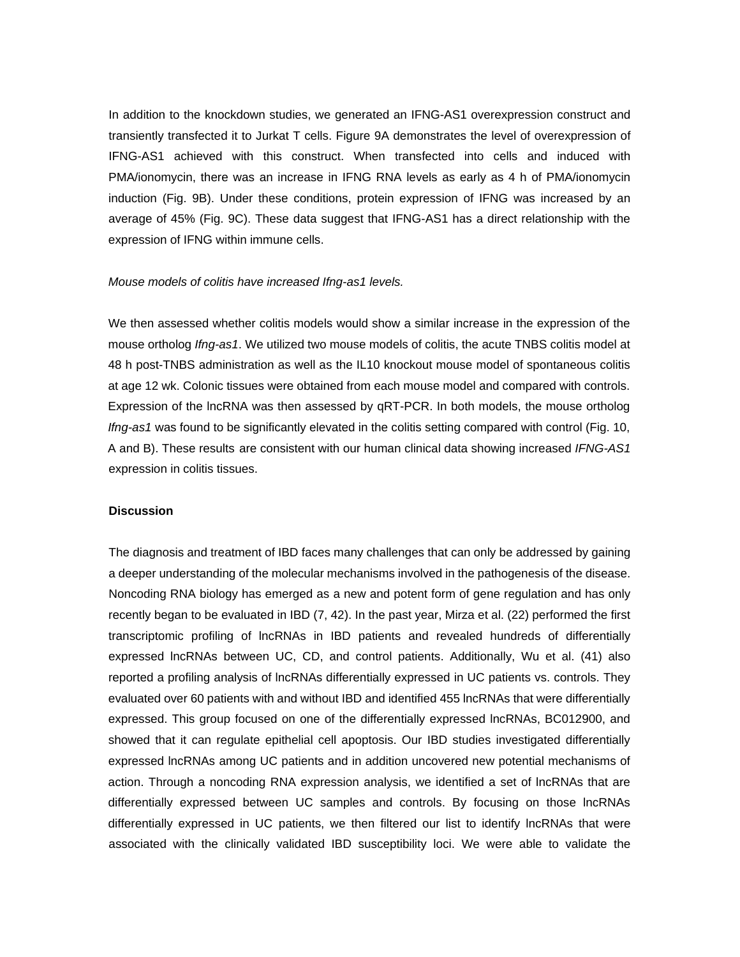In addition to the knockdown studies, we generated an IFNG-AS1 overexpression construct and transiently transfected it to Jurkat T cells. Figure 9A demonstrates the level of overexpression of IFNG-AS1 achieved with this construct. When transfected into cells and induced with PMA/ionomycin, there was an increase in IFNG RNA levels as early as 4 h of PMA/ionomycin induction (Fig. 9B). Under these conditions, protein expression of IFNG was increased by an average of 45% (Fig. 9C). These data suggest that IFNG-AS1 has a direct relationship with the expression of IFNG within immune cells.

#### *Mouse models of colitis have increased Ifng-as1 levels.*

We then assessed whether colitis models would show a similar increase in the expression of the mouse ortholog *Ifng-as1*. We utilized two mouse models of colitis, the acute TNBS colitis model at 48 h post-TNBS administration as well as the IL10 knockout mouse model of spontaneous colitis at age 12 wk. Colonic tissues were obtained from each mouse model and compared with controls. Expression of the lncRNA was then assessed by qRT-PCR. In both models, the mouse ortholog *Ifng-as1* was found to be significantly elevated in the colitis setting compared with control (Fig. 10, A and B). These results are consistent with our human clinical data showing increased *IFNG-AS1* expression in colitis tissues.

#### **Discussion**

The diagnosis and treatment of IBD faces many challenges that can only be addressed by gaining a deeper understanding of the molecular mechanisms involved in the pathogenesis of the disease. Noncoding RNA biology has emerged as a new and potent form of gene regulation and has only recently began to be evaluated in IBD (7, 42). In the past year, Mirza et al. (22) performed the first transcriptomic profiling of lncRNAs in IBD patients and revealed hundreds of differentially expressed lncRNAs between UC, CD, and control patients. Additionally, Wu et al. (41) also reported a profiling analysis of lncRNAs differentially expressed in UC patients vs. controls. They evaluated over 60 patients with and without IBD and identified 455 lncRNAs that were differentially expressed. This group focused on one of the differentially expressed lncRNAs, BC012900, and showed that it can regulate epithelial cell apoptosis. Our IBD studies investigated differentially expressed lncRNAs among UC patients and in addition uncovered new potential mechanisms of action. Through a noncoding RNA expression analysis, we identified a set of lncRNAs that are differentially expressed between UC samples and controls. By focusing on those lncRNAs differentially expressed in UC patients, we then filtered our list to identify lncRNAs that were associated with the clinically validated IBD susceptibility loci. We were able to validate the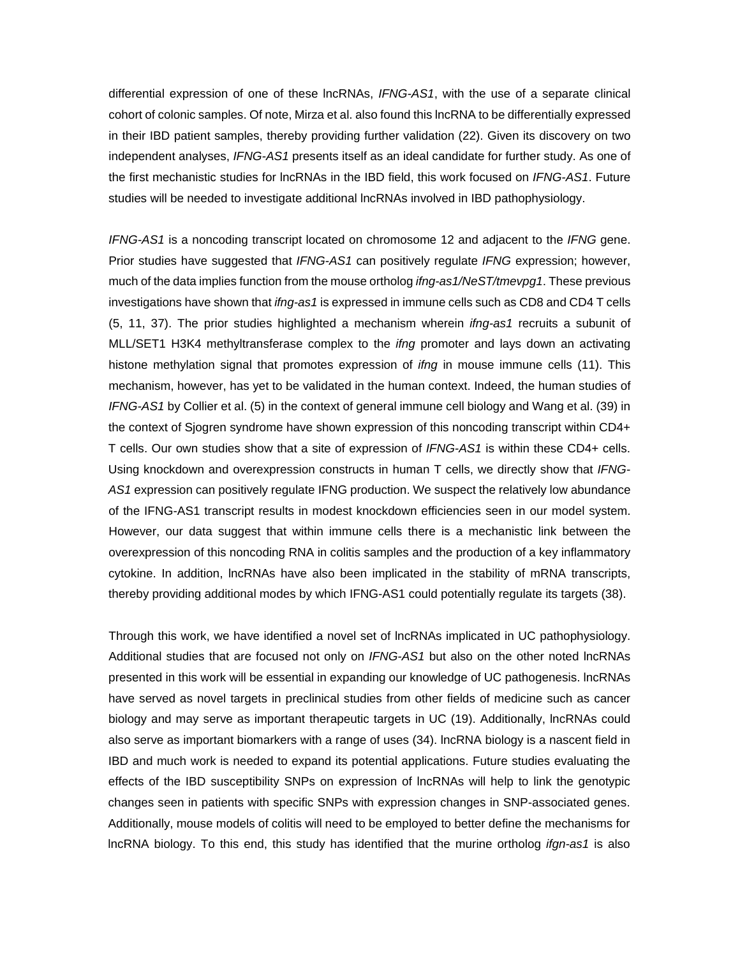differential expression of one of these lncRNAs, *IFNG-AS1*, with the use of a separate clinical cohort of colonic samples. Of note, Mirza et al. also found this lncRNA to be differentially expressed in their IBD patient samples, thereby providing further validation (22). Given its discovery on two independent analyses, *IFNG-AS1* presents itself as an ideal candidate for further study. As one of the first mechanistic studies for lncRNAs in the IBD field, this work focused on *IFNG-AS1*. Future studies will be needed to investigate additional lncRNAs involved in IBD pathophysiology.

*IFNG-AS1* is a noncoding transcript located on chromosome 12 and adjacent to the *IFNG* gene. Prior studies have suggested that *IFNG-AS1* can positively regulate *IFNG* expression; however, much of the data implies function from the mouse ortholog *ifng-as1/NeST/tmevpg1*. These previous investigations have shown that *ifng-as1* is expressed in immune cells such as CD8 and CD4 T cells (5, 11, 37). The prior studies highlighted a mechanism wherein *ifng-as1* recruits a subunit of MLL/SET1 H3K4 methyltransferase complex to the *ifng* promoter and lays down an activating histone methylation signal that promotes expression of *ifng* in mouse immune cells (11). This mechanism, however, has yet to be validated in the human context. Indeed, the human studies of *IFNG-AS1* by Collier et al. (5) in the context of general immune cell biology and Wang et al. (39) in the context of Sjogren syndrome have shown expression of this noncoding transcript within CD4+ T cells. Our own studies show that a site of expression of *IFNG-AS1* is within these CD4+ cells. Using knockdown and overexpression constructs in human T cells, we directly show that *IFNG-AS1* expression can positively regulate IFNG production. We suspect the relatively low abundance of the IFNG-AS1 transcript results in modest knockdown efficiencies seen in our model system. However, our data suggest that within immune cells there is a mechanistic link between the overexpression of this noncoding RNA in colitis samples and the production of a key inflammatory cytokine. In addition, lncRNAs have also been implicated in the stability of mRNA transcripts, thereby providing additional modes by which IFNG-AS1 could potentially regulate its targets (38).

Through this work, we have identified a novel set of lncRNAs implicated in UC pathophysiology. Additional studies that are focused not only on *IFNG-AS1* but also on the other noted lncRNAs presented in this work will be essential in expanding our knowledge of UC pathogenesis. lncRNAs have served as novel targets in preclinical studies from other fields of medicine such as cancer biology and may serve as important therapeutic targets in UC (19). Additionally, lncRNAs could also serve as important biomarkers with a range of uses (34). lncRNA biology is a nascent field in IBD and much work is needed to expand its potential applications. Future studies evaluating the effects of the IBD susceptibility SNPs on expression of lncRNAs will help to link the genotypic changes seen in patients with specific SNPs with expression changes in SNP-associated genes. Additionally, mouse models of colitis will need to be employed to better define the mechanisms for lncRNA biology. To this end, this study has identified that the murine ortholog *ifgn-as1* is also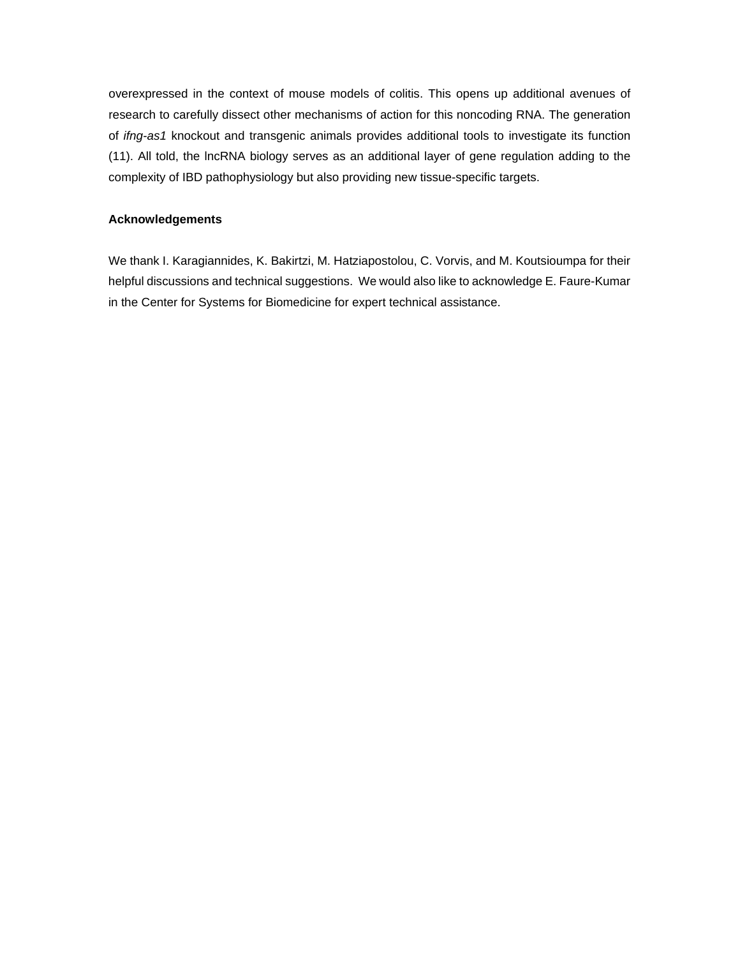overexpressed in the context of mouse models of colitis. This opens up additional avenues of research to carefully dissect other mechanisms of action for this noncoding RNA. The generation of *ifng-as1* knockout and transgenic animals provides additional tools to investigate its function (11). All told, the lncRNA biology serves as an additional layer of gene regulation adding to the complexity of IBD pathophysiology but also providing new tissue-specific targets.

## **Acknowledgements**

We thank I. Karagiannides, K. Bakirtzi, M. Hatziapostolou, C. Vorvis, and M. Koutsioumpa for their helpful discussions and technical suggestions. We would also like to acknowledge E. Faure-Kumar in the Center for Systems for Biomedicine for expert technical assistance.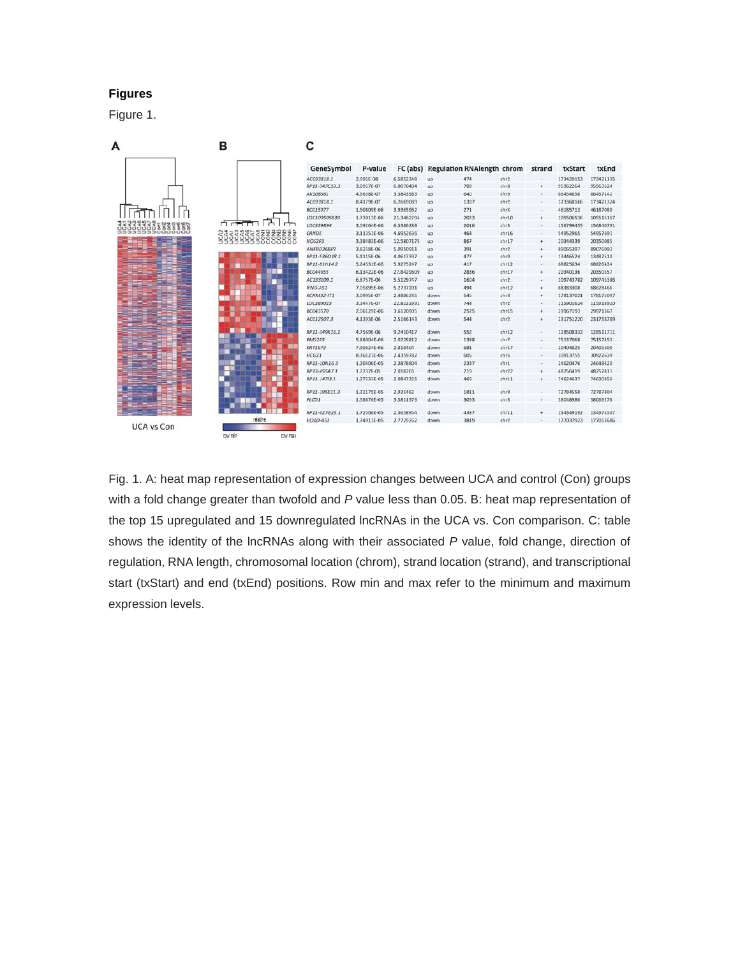## **Figures**

Figure 1.

| А                 | в                              |                 |             |            |                                     |      |       |        |           |           |
|-------------------|--------------------------------|-----------------|-------------|------------|-------------------------------------|------|-------|--------|-----------|-----------|
|                   |                                | GeneSymbol      | P-value     |            | FC (abs) Regulation RNAlength chrom |      |       | strand | txStart   | txEnd     |
|                   |                                | AC093818.1      | 2.995E-08   | 6.5852348  | <b>UD</b>                           | 474  | chr2  |        | 173420153 | 173421135 |
|                   |                                | RP11-347C18.3   | 3.8957E-07  | 6.0070404  | <b>up</b>                           | 709  | chr8  |        | 95962264  | 95963624  |
|                   |                                | AK308561        | 4.9638E-07  | 3.3843983  | <b>UD</b>                           | 640  | chr9  |        | 66454656  | 66457142  |
|                   |                                | AC093818.1      | 8.4179E-07  | 6.2669089  | <b>UD</b>                           | 1397 | chr2  |        | 173368166 | 173421324 |
|                   |                                | <b>BC015977</b> | 1.50809E-06 | 3.9365962  | <b>UD</b>                           | 271  | chrX  |        | 46185713  | 46187080  |
|                   |                                | LOC100505839    | 1.73017E-06 | 21.3462294 | <b>UD</b>                           | 2023 | chr10 |        | 105506536 | 105515167 |
| 00000             | n <del>n</del>                 | LOC339894       | 3.09264E-06 | 6.5386288  | <b>UD</b>                           | 2016 | chr3  |        | 156799455 | 156840791 |
|                   | 4000                           | <b>CRNDE</b>    | 3.11351E-06 | 4.6952636  | <b>UD</b>                           | 464  | chr16 |        | 54952965  | 54957691  |
|                   | \$\$\$\$\$\$\$\$\$\$\$\$\$\$\$ | NOS2P3          | 3.38483E-06 | 12.5807175 | <b>UD</b>                           | 867  | chr17 |        | 20344339  | 20350085  |
|                   |                                | ANKRD36BP2      | 3.8258E-06  | 5.0950911  | <b>U</b> p                          | 391  | chr2  |        | 89065397  | 89076092  |
|                   |                                | RP11-536018.1   | 5.1115E-06  | 4.0617397  | <b>UD</b>                           | 477  | chr9  |        | 13446524  | 13487510  |
|                   |                                | RP11-81H14.2    | 5.24531E-06 | 5.9275247  | <b>UD</b>                           | 417  | chr12 |        | 68825634  | 68826434  |
|                   |                                | BC044655        | 6.13422E-06 | 27.8429609 | up                                  | 2836 | chr17 | ÷      | 20340136  | 20350557  |
|                   |                                | AC133109.1      | 6.8757E-06  | 5.5129747  | <b>UD</b>                           | 1604 | chr2  |        | 109743782 | 109745386 |
|                   |                                | IFNG-AS1        | 7.05895E-06 | 5.2737201  | up                                  | 494  | chr12 | ٠      | 68383308  | 68628466  |
|                   |                                | KCNMB2-IT1      | 3.0995E-07  | 2.4886246  | down                                | 545  | chr3  | ٠      | 178137021 | 178175097 |
|                   |                                | LOC389023       | 3.3447E-07  | 22.8222991 | down                                | 744  | chr2  |        | 115901624 | 115918920 |
|                   |                                | BC043570        | 2.06129E-06 | 3.6120905  | down                                | 2525 | chr15 |        | 29967193  | 29971367  |
|                   |                                | AC012507.3      | 4.1393E-06  | 2.5166143  | down                                | 544  | chr2  |        | 231751220 | 231758789 |
|                   |                                | RP11-349K16.1   | 4.7569E-06  | 9.2410417  | down                                | 552  | chr12 |        | 128508332 | 128511711 |
|                   |                                | PMS2P3          | 5.88004E-06 | 2.0229812  | down                                | 1388 | chr7  |        | 75137068  | 75157453  |
|                   |                                | KRT16P3         | 7.90624E-06 | 2.818404   | down                                | 681  | chr17 |        | 20404825  | 20405600  |
|                   |                                | HCG21           | 8.36127E-06 | 2.4359782  | down                                | 605  | chr6  |        | 30913755  | 30922639  |
|                   |                                | RP11-10N16.3    | 1.20406E-05 | 2.3878804  | down                                | 2337 | chr1  |        | 24620476  | 24648420  |
|                   |                                | RP13-455A7.1    | 1.2237E-05  | 2.018203   | down                                | 219  | chr22 |        | 48256419  | 48257811  |
|                   |                                | RP11-14713.1    | 1.27233E-05 | 2.0847325  | down                                | 469  | chr11 |        | 74624637  | 74630856  |
|                   |                                | RP11-195E11.3   | 1.32175E-05 | 2.931462   | down                                | 1811 | chr9  |        | 72784558  | 72787804  |
|                   |                                | PLCD1           | 1.58876E-05 | 3.5811373  | down                                | 3053 | chr3  |        | 38048986  | 38066278  |
|                   |                                | RP11-627G23.1   | 1.72506E-05 | 2.3658954  | down                                | 4387 | chr11 |        | 134349192 | 134375507 |
| <b>UCA vs Con</b> | relative                       | HOXD-ASI        | 1.74911E-05 | 2.7729262  | down                                | 3819 | chr2  |        | 177037923 | 177053686 |
|                   | row min<br>row max             |                 |             |            |                                     |      |       |        |           |           |

Fig. 1. A: heat map representation of expression changes between UCA and control (Con) groups with a fold change greater than twofold and *P* value less than 0.05. B: heat map representation of the top 15 upregulated and 15 downregulated lncRNAs in the UCA vs. Con comparison. C: table shows the identity of the lncRNAs along with their associated *P* value, fold change, direction of regulation, RNA length, chromosomal location (chrom), strand location (strand), and transcriptional start (txStart) and end (txEnd) positions. Row min and max refer to the minimum and maximum expression levels.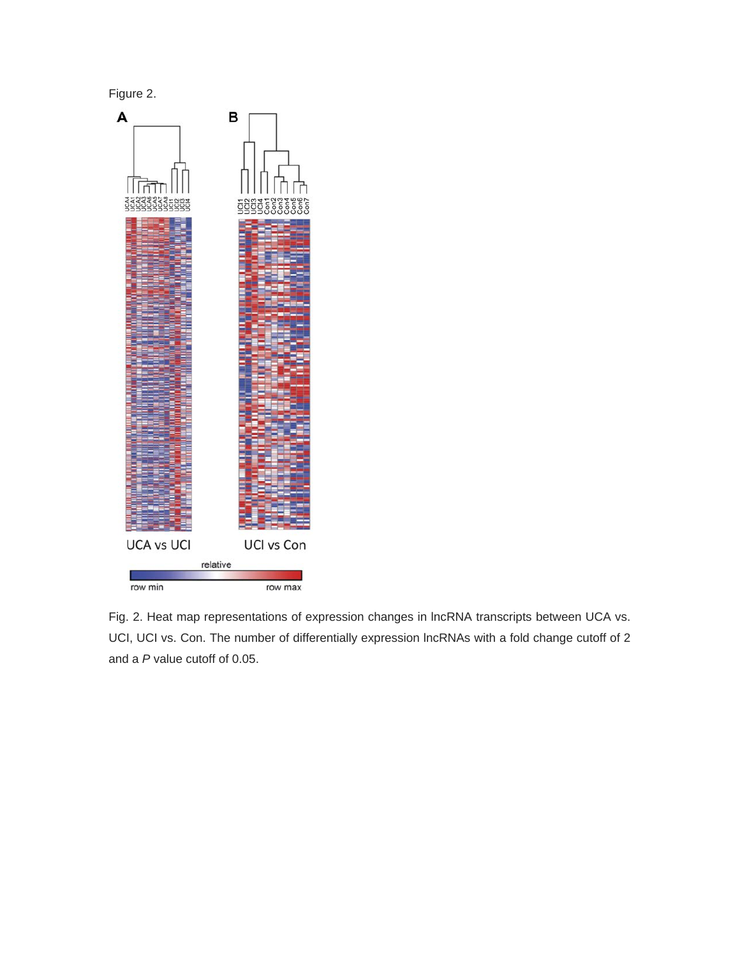

Fig. 2. Heat map representations of expression changes in lncRNA transcripts between UCA vs. UCI, UCI vs. Con. The number of differentially expression lncRNAs with a fold change cutoff of 2 and a *P* value cutoff of 0.05.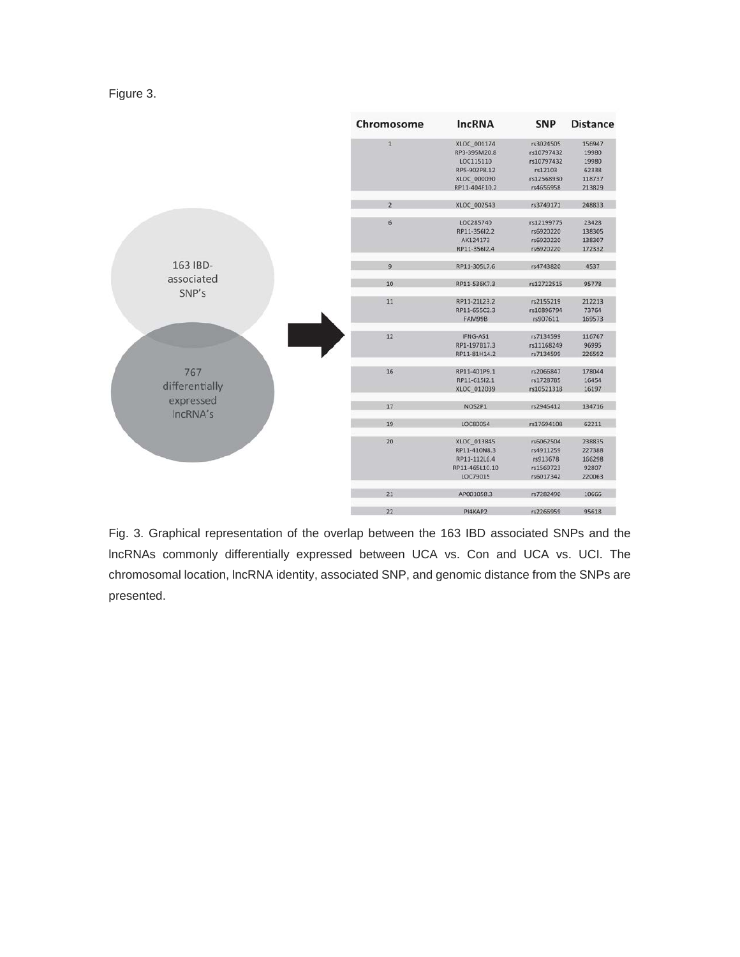Figure 3.



Fig. 3. Graphical representation of the overlap between the 163 IBD associated SNPs and the lncRNAs commonly differentially expressed between UCA vs. Con and UCA vs. UCI. The chromosomal location, lncRNA identity, associated SNP, and genomic distance from the SNPs are presented.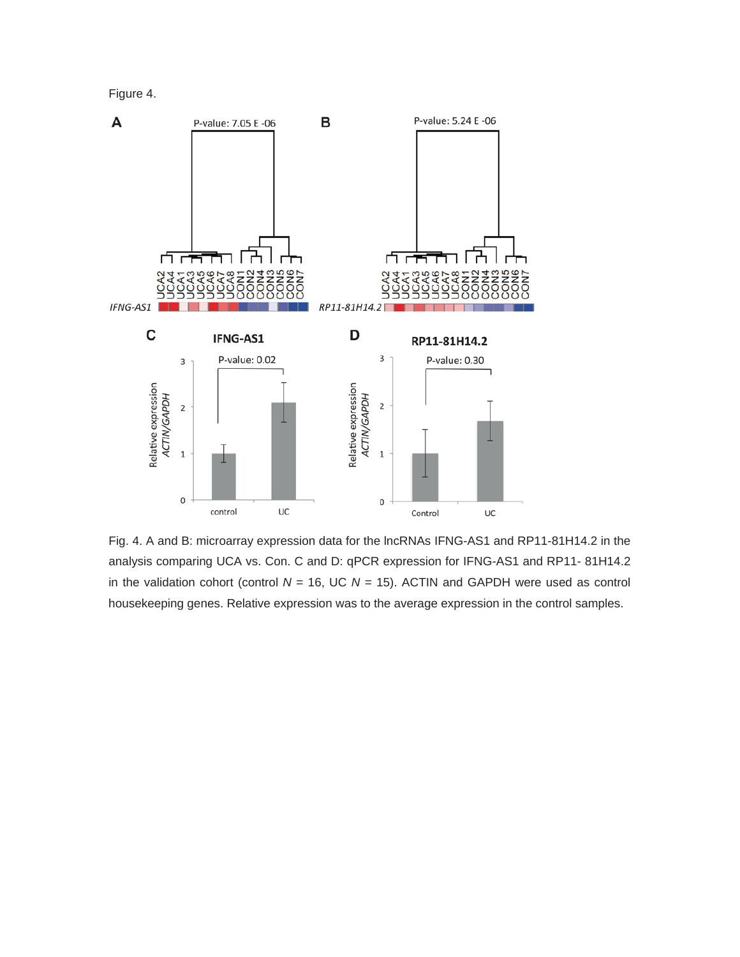



Fig. 4. A and B: microarray expression data for the lncRNAs IFNG-AS1 and RP11-81H14.2 in the analysis comparing UCA vs. Con. C and D: qPCR expression for IFNG-AS1 and RP11- 81H14.2 in the validation cohort (control  $N = 16$ , UC  $N = 15$ ). ACTIN and GAPDH were used as control housekeeping genes. Relative expression was to the average expression in the control samples.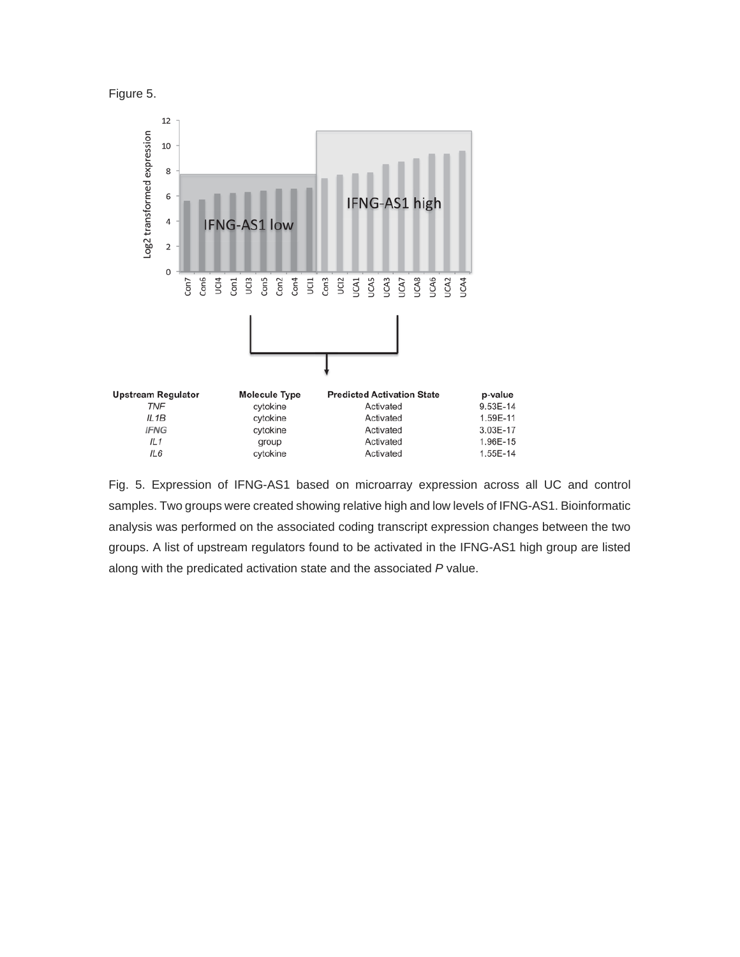



Fig. 5. Expression of IFNG-AS1 based on microarray expression across all UC and control samples. Two groups were created showing relative high and low levels of IFNG-AS1. Bioinformatic analysis was performed on the associated coding transcript expression changes between the two groups. A list of upstream regulators found to be activated in the IFNG-AS1 high group are listed along with the predicated activation state and the associated *P* value.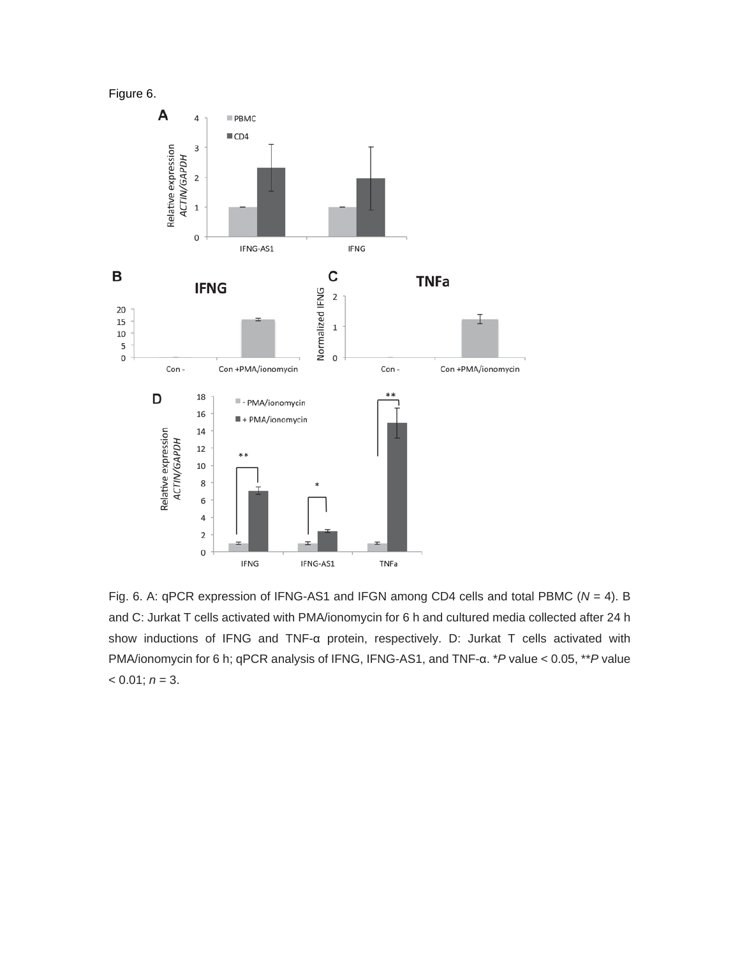



Fig. 6. A: qPCR expression of IFNG-AS1 and IFGN among CD4 cells and total PBMC (*N* = 4). B and C: Jurkat T cells activated with PMA/ionomycin for 6 h and cultured media collected after 24 h show inductions of IFNG and TNF-α protein, respectively. D: Jurkat T cells activated with PMA/ionomycin for 6 h; qPCR analysis of IFNG, IFNG-AS1, and TNF-α. \**P* value < 0.05, \*\**P* value  $< 0.01; n = 3.$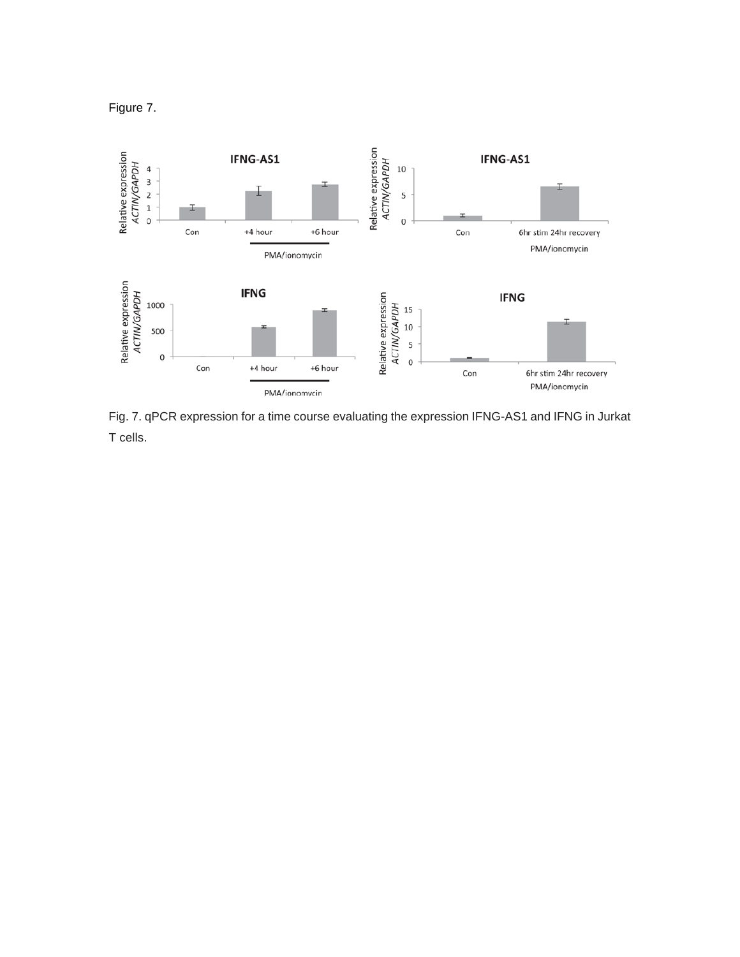

Fig. 7. qPCR expression for a time course evaluating the expression IFNG-AS1 and IFNG in Jurkat T cells.

Figure 7.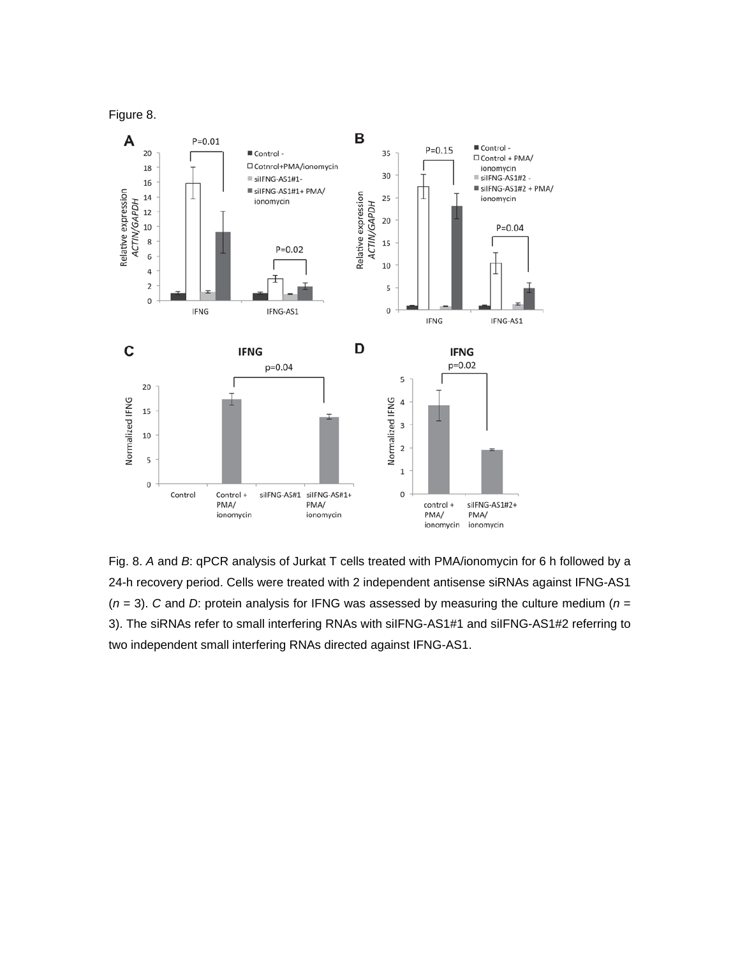



Fig. 8. *A* and *B*: qPCR analysis of Jurkat T cells treated with PMA/ionomycin for 6 h followed by a 24-h recovery period. Cells were treated with 2 independent antisense siRNAs against IFNG-AS1 (*n* = 3). *C* and *D*: protein analysis for IFNG was assessed by measuring the culture medium (*n* = 3). The siRNAs refer to small interfering RNAs with siIFNG-AS1#1 and siIFNG-AS1#2 referring to two independent small interfering RNAs directed against IFNG-AS1.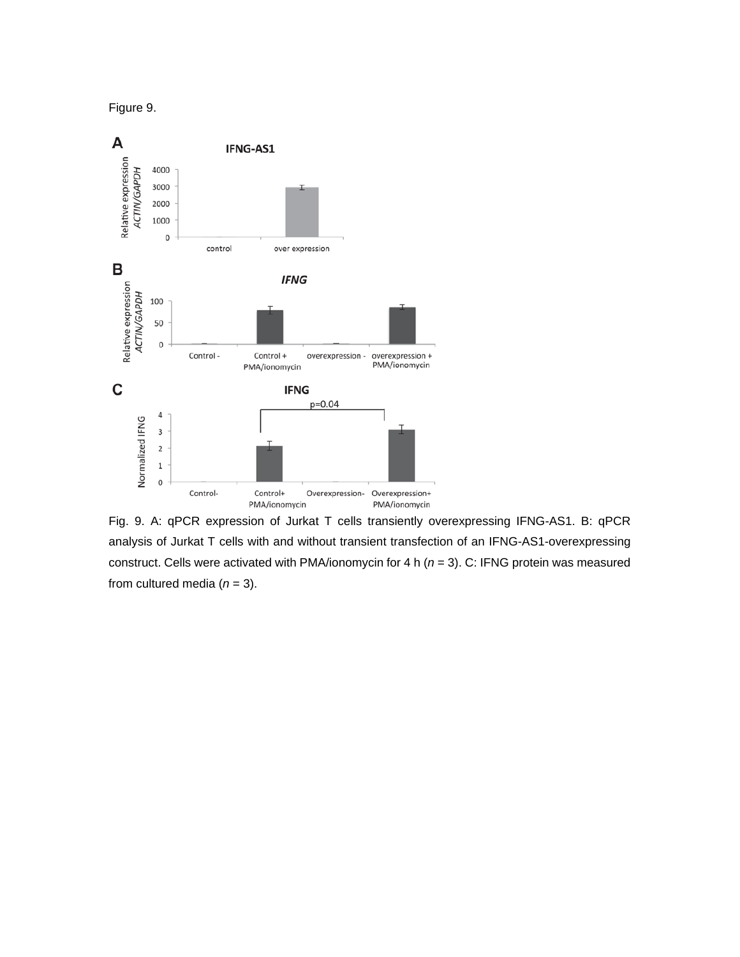Figure 9.



Fig. 9. A: qPCR expression of Jurkat T cells transiently overexpressing IFNG-AS1. B: qPCR analysis of Jurkat T cells with and without transient transfection of an IFNG-AS1-overexpressing construct. Cells were activated with PMA/ionomycin for 4 h (*n* = 3). C: IFNG protein was measured from cultured media  $(n = 3)$ .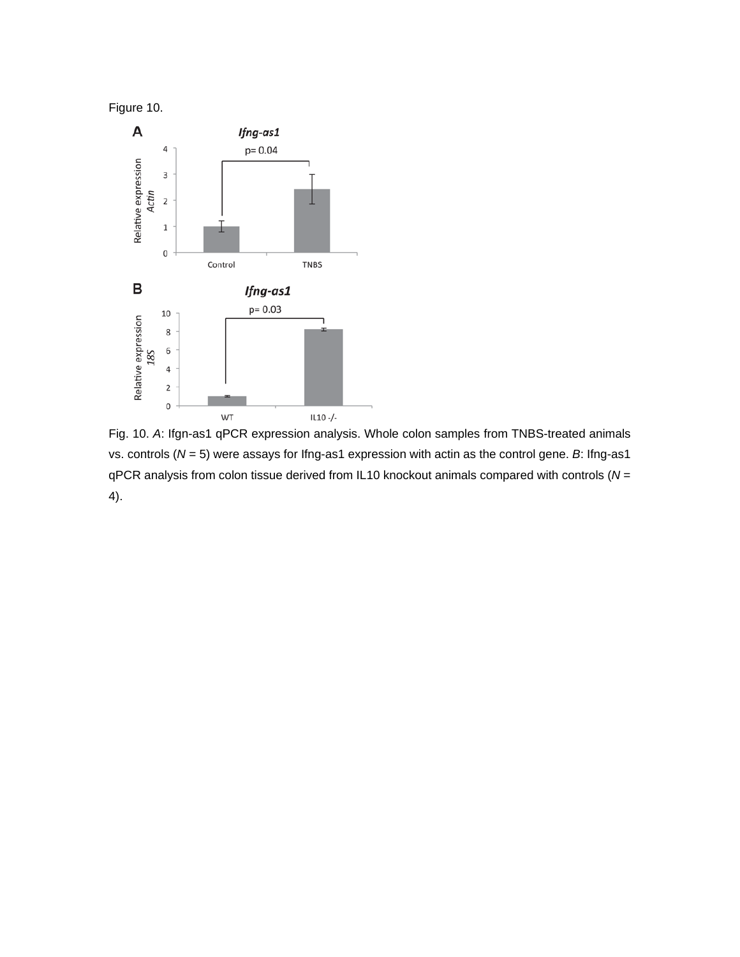

Fig. 10. *A*: Ifgn-as1 qPCR expression analysis. Whole colon samples from TNBS-treated animals vs. controls (*N* = 5) were assays for Ifng-as1 expression with actin as the control gene. *B*: Ifng-as1 qPCR analysis from colon tissue derived from IL10 knockout animals compared with controls (*N* = 4).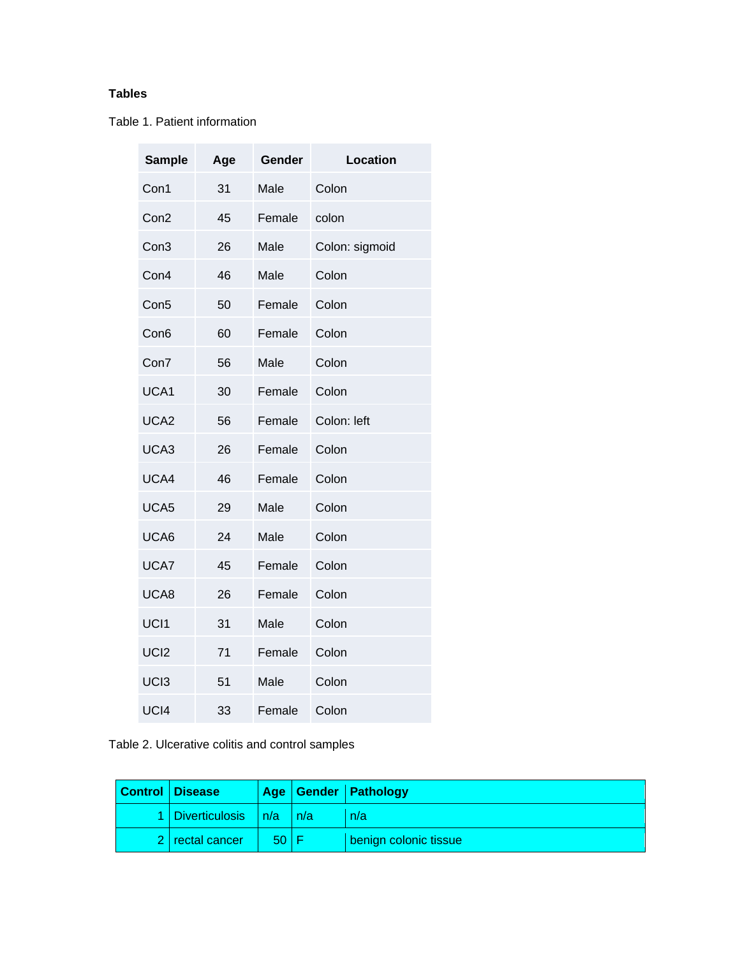# **Tables**

Table 1. Patient information

| <b>Sample</b>    | Age | Gender | Location       |  |  |  |
|------------------|-----|--------|----------------|--|--|--|
| Con1             | 31  | Male   | Colon          |  |  |  |
| Con <sub>2</sub> | 45  | Female | colon          |  |  |  |
| Con <sub>3</sub> | 26  | Male   | Colon: sigmoid |  |  |  |
| Con4             | 46  | Male   | Colon          |  |  |  |
| Con <sub>5</sub> | 50  | Female | Colon          |  |  |  |
| Con <sub>6</sub> | 60  | Female | Colon          |  |  |  |
| Con7             | 56  | Male   | Colon          |  |  |  |
| UCA1             | 30  | Female | Colon          |  |  |  |
| UCA <sub>2</sub> | 56  | Female | Colon: left    |  |  |  |
| UCA3             | 26  | Female | Colon          |  |  |  |
| UCA4             | 46  | Female | Colon          |  |  |  |
| UCA <sub>5</sub> | 29  | Male   | Colon          |  |  |  |
| UCA6             | 24  | Male   | Colon          |  |  |  |
| UCA7             | 45  | Female | Colon          |  |  |  |
| UCA8             | 26  | Female | Colon          |  |  |  |
| UCI1             | 31  | Male   | Colon          |  |  |  |
| UC <sub>l2</sub> | 71  | Female | Colon          |  |  |  |
| UC <sub>13</sub> | 51  | Male   | Colon          |  |  |  |
| UC <sub>14</sub> | 33  | Female | Colon          |  |  |  |

Table 2. Ulcerative colitis and control samples

|  | <b>Control Disease</b> |      |     | Age   Gender   Pathology |
|--|------------------------|------|-----|--------------------------|
|  | 1 Diverticulosis       | n/a  | n/a | n/a                      |
|  | 2 rectal cancer        | 50 F |     | benign colonic tissue    |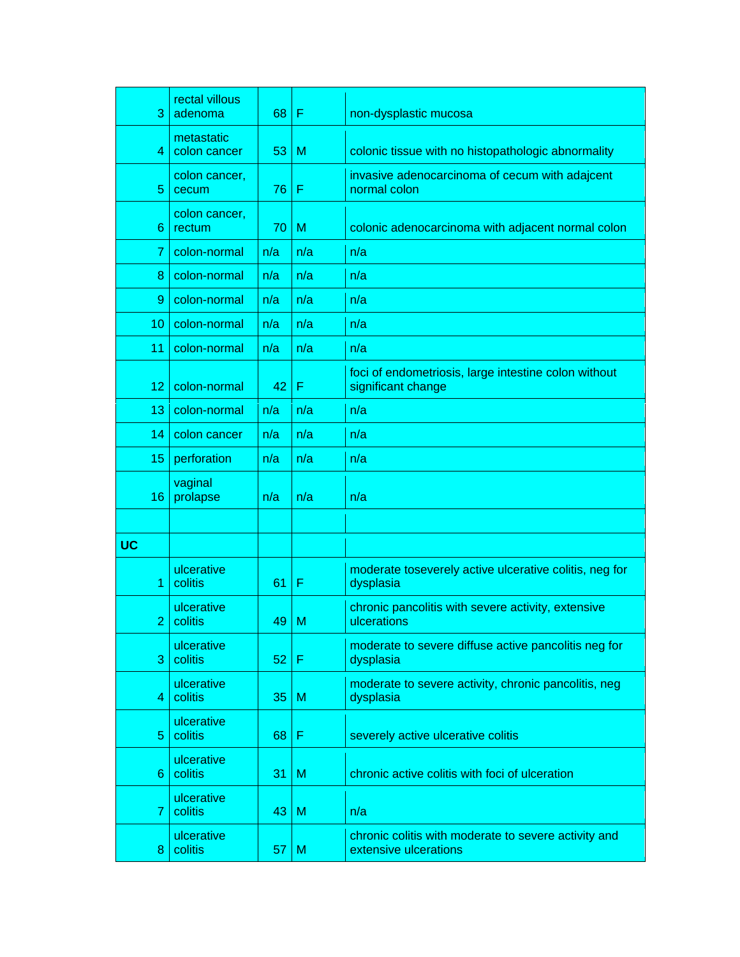| 3              | rectal villous<br>adenoma  | 68     | F   | non-dysplastic mucosa                                                         |  |
|----------------|----------------------------|--------|-----|-------------------------------------------------------------------------------|--|
| 4              | metastatic<br>colon cancer | 53     | M   | colonic tissue with no histopathologic abnormality                            |  |
| 5              | colon cancer,<br>cecum     | 76     | F   | invasive adenocarcinoma of cecum with adajcent<br>normal colon                |  |
| 6              | colon cancer,<br>rectum    | 70     | M   | colonic adenocarcinoma with adjacent normal colon                             |  |
| 7              | colon-normal               | n/a    | n/a | n/a                                                                           |  |
| 8              | colon-normal               | n/a    | n/a | n/a                                                                           |  |
| 9              | colon-normal               | n/a    | n/a | n/a                                                                           |  |
| 10             | colon-normal               | n/a    | n/a | n/a                                                                           |  |
| 11             | colon-normal               | n/a    | n/a | n/a                                                                           |  |
| 12             | colon-normal               | 42     | F   | foci of endometriosis, large intestine colon without<br>significant change    |  |
| 13             | colon-normal               | n/a    | n/a | n/a                                                                           |  |
| 14             | colon cancer               | n/a    | n/a | n/a                                                                           |  |
| 15             | perforation                | n/a    | n/a | n/a                                                                           |  |
| 16             | vaginal<br>prolapse        | n/a    | n/a | n/a                                                                           |  |
|                |                            |        |     |                                                                               |  |
| <b>UC</b>      |                            |        |     |                                                                               |  |
| 1              | ulcerative<br>colitis      | 61     | F   | moderate toseverely active ulcerative colitis, neg for<br>dysplasia           |  |
| $\overline{2}$ | ulcerative<br>colitis      | 49     | M   | chronic pancolitis with severe activity, extensive<br>ulcerations             |  |
| 3              | ulcerative<br>colitis      | $52$ F |     | moderate to severe diffuse active pancolitis neg for<br>dysplasia             |  |
| 4              | ulcerative<br>colitis      | 35     | M   | moderate to severe activity, chronic pancolitis, neg<br>dysplasia             |  |
| 5              | ulcerative<br>colitis      | 68     | F   | severely active ulcerative colitis                                            |  |
| 6              | ulcerative<br>colitis      | 31     | M   | chronic active colitis with foci of ulceration                                |  |
| 7              | ulcerative<br>colitis      | 43     | M   | n/a                                                                           |  |
| 8              | ulcerative<br>colitis      | 57     | M   | chronic colitis with moderate to severe activity and<br>extensive ulcerations |  |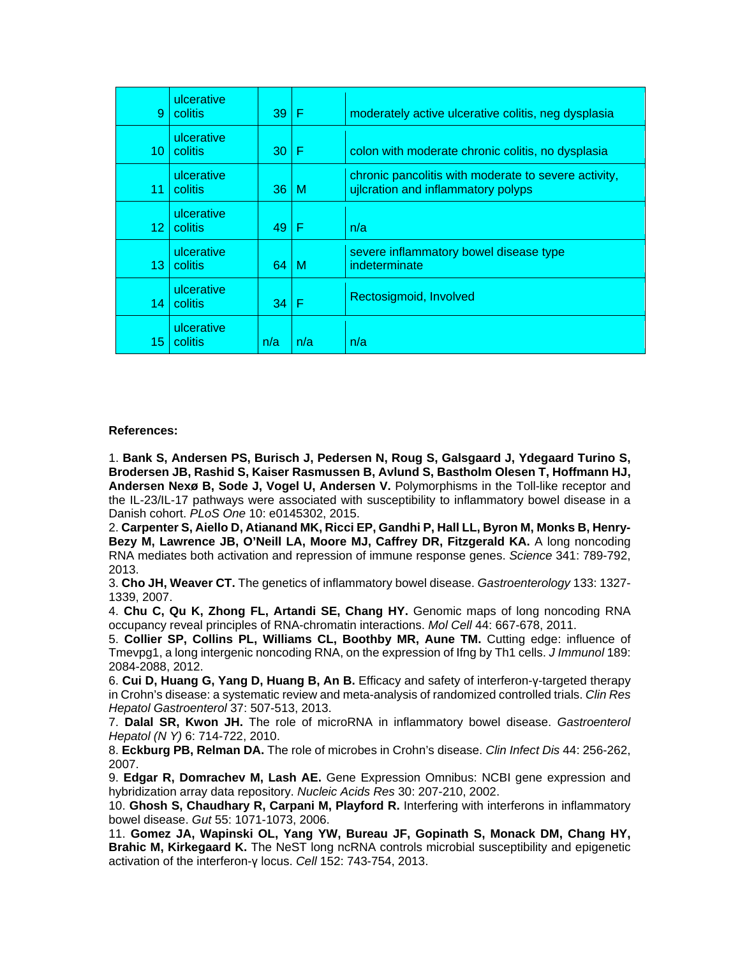| 9  | ulcerative<br>colitis | 39 F            |     | moderately active ulcerative colitis, neg dysplasia                                        |
|----|-----------------------|-----------------|-----|--------------------------------------------------------------------------------------------|
| 10 | ulcerative<br>colitis | 30 <sup>1</sup> | l F | colon with moderate chronic colitis, no dysplasia                                          |
| 11 | ulcerative<br>colitis | 36 <sup>°</sup> | M   | chronic pancolitis with moderate to severe activity,<br>ujlcration and inflammatory polyps |
| 12 | ulcerative<br>colitis | 49              | Æ   | n/a                                                                                        |
| 13 | ulcerative<br>colitis | 64              | M   | severe inflammatory bowel disease type<br>indeterminate                                    |
| 14 | ulcerative<br>colitis | $34$ F          |     | Rectosigmoid, Involved                                                                     |
| 15 | ulcerative<br>colitis | n/a             | n/a | n/a                                                                                        |

#### **References:**

1. **Bank S, Andersen PS, Burisch J, Pedersen N, Roug S, Galsgaard J, Ydegaard Turino S, Brodersen JB, Rashid S, Kaiser Rasmussen B, Avlund S, Bastholm Olesen T, Hoffmann HJ,**  Andersen Nexø B, Sode J, Vogel U, Andersen V. Polymorphisms in the Toll-like receptor and the IL-23/IL-17 pathways were associated with susceptibility to inflammatory bowel disease in a Danish cohort. *PLoS One* 10: e0145302, 2015.

2. **Carpenter S, Aiello D, Atianand MK, Ricci EP, Gandhi P, Hall LL, Byron M, Monks B, Henry-Bezy M, Lawrence JB, O'Neill LA, Moore MJ, Caffrey DR, Fitzgerald KA.** A long noncoding RNA mediates both activation and repression of immune response genes. *Science* 341: 789-792, 2013.

3. **Cho JH, Weaver CT.** The genetics of inflammatory bowel disease. *Gastroenterology* 133: 1327- 1339, 2007.

4. **Chu C, Qu K, Zhong FL, Artandi SE, Chang HY.** Genomic maps of long noncoding RNA occupancy reveal principles of RNA-chromatin interactions. *Mol Cell* 44: 667-678, 2011.

5. **Collier SP, Collins PL, Williams CL, Boothby MR, Aune TM.** Cutting edge: influence of Tmevpg1, a long intergenic noncoding RNA, on the expression of Ifng by Th1 cells. *J Immunol* 189: 2084-2088, 2012.

6. **Cui D, Huang G, Yang D, Huang B, An B.** Efficacy and safety of interferon-γ-targeted therapy in Crohn's disease: a systematic review and meta-analysis of randomized controlled trials. *Clin Res Hepatol Gastroenterol* 37: 507-513, 2013.

7. **Dalal SR, Kwon JH.** The role of microRNA in inflammatory bowel disease. *Gastroenterol Hepatol (N Y)* 6: 714-722, 2010.

8. **Eckburg PB, Relman DA.** The role of microbes in Crohn's disease. *Clin Infect Dis* 44: 256-262, 2007.

9. **Edgar R, Domrachev M, Lash AE.** Gene Expression Omnibus: NCBI gene expression and hybridization array data repository. *Nucleic Acids Res* 30: 207-210, 2002.

10. **Ghosh S, Chaudhary R, Carpani M, Playford R.** Interfering with interferons in inflammatory bowel disease. *Gut* 55: 1071-1073, 2006.

11. **Gomez JA, Wapinski OL, Yang YW, Bureau JF, Gopinath S, Monack DM, Chang HY, Brahic M, Kirkegaard K.** The NeST long ncRNA controls microbial susceptibility and epigenetic activation of the interferon-γ locus. *Cell* 152: 743-754, 2013.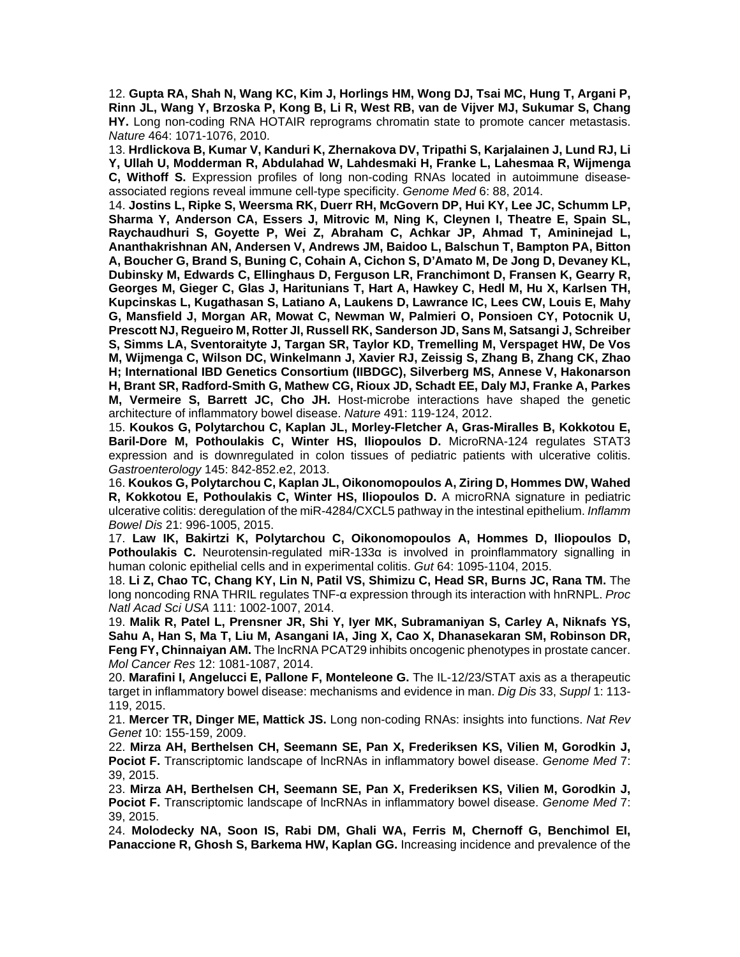12. **Gupta RA, Shah N, Wang KC, Kim J, Horlings HM, Wong DJ, Tsai MC, Hung T, Argani P, Rinn JL, Wang Y, Brzoska P, Kong B, Li R, West RB, van de Vijver MJ, Sukumar S, Chang HY.** Long non-coding RNA HOTAIR reprograms chromatin state to promote cancer metastasis. *Nature* 464: 1071-1076, 2010.

13. **Hrdlickova B, Kumar V, Kanduri K, Zhernakova DV, Tripathi S, Karjalainen J, Lund RJ, Li Y, Ullah U, Modderman R, Abdulahad W, Lahdesmaki H, Franke L, Lahesmaa R, Wijmenga C, Withoff S.** Expression profiles of long non-coding RNAs located in autoimmune diseaseassociated regions reveal immune cell-type specificity. *Genome Med* 6: 88, 2014.

14. **Jostins L, Ripke S, Weersma RK, Duerr RH, McGovern DP, Hui KY, Lee JC, Schumm LP, Sharma Y, Anderson CA, Essers J, Mitrovic M, Ning K, Cleynen I, Theatre E, Spain SL, Raychaudhuri S, Goyette P, Wei Z, Abraham C, Achkar JP, Ahmad T, Amininejad L, Ananthakrishnan AN, Andersen V, Andrews JM, Baidoo L, Balschun T, Bampton PA, Bitton A, Boucher G, Brand S, Buning C, Cohain A, Cichon S, D'Amato M, De Jong D, Devaney KL, Dubinsky M, Edwards C, Ellinghaus D, Ferguson LR, Franchimont D, Fransen K, Gearry R, Georges M, Gieger C, Glas J, Haritunians T, Hart A, Hawkey C, Hedl M, Hu X, Karlsen TH, Kupcinskas L, Kugathasan S, Latiano A, Laukens D, Lawrance IC, Lees CW, Louis E, Mahy G, Mansfield J, Morgan AR, Mowat C, Newman W, Palmieri O, Ponsioen CY, Potocnik U, Prescott NJ, Regueiro M, Rotter JI, Russell RK, Sanderson JD, Sans M, Satsangi J, Schreiber S, Simms LA, Sventoraityte J, Targan SR, Taylor KD, Tremelling M, Verspaget HW, De Vos M, Wijmenga C, Wilson DC, Winkelmann J, Xavier RJ, Zeissig S, Zhang B, Zhang CK, Zhao H; International IBD Genetics Consortium (IIBDGC), Silverberg MS, Annese V, Hakonarson H, Brant SR, Radford-Smith G, Mathew CG, Rioux JD, Schadt EE, Daly MJ, Franke A, Parkes M, Vermeire S, Barrett JC, Cho JH.** Host-microbe interactions have shaped the genetic architecture of inflammatory bowel disease. *Nature* 491: 119-124, 2012.

15. **Koukos G, Polytarchou C, Kaplan JL, Morley-Fletcher A, Gras-Miralles B, Kokkotou E, Baril-Dore M, Pothoulakis C, Winter HS, Iliopoulos D.** MicroRNA-124 regulates STAT3 expression and is downregulated in colon tissues of pediatric patients with ulcerative colitis. *Gastroenterology* 145: 842-852.e2, 2013.

16. **Koukos G, Polytarchou C, Kaplan JL, Oikonomopoulos A, Ziring D, Hommes DW, Wahed R, Kokkotou E, Pothoulakis C, Winter HS, Iliopoulos D.** A microRNA signature in pediatric ulcerative colitis: deregulation of the miR-4284/CXCL5 pathway in the intestinal epithelium. *Inflamm Bowel Dis* 21: 996-1005, 2015.

17. **Law IK, Bakirtzi K, Polytarchou C, Oikonomopoulos A, Hommes D, Iliopoulos D, Pothoulakis C.** Neurotensin-regulated miR-133α is involved in proinflammatory signalling in human colonic epithelial cells and in experimental colitis. *Gut* 64: 1095-1104, 2015.

18. **Li Z, Chao TC, Chang KY, Lin N, Patil VS, Shimizu C, Head SR, Burns JC, Rana TM.** The long noncoding RNA THRIL regulates TNF-α expression through its interaction with hnRNPL. *Proc Natl Acad Sci USA* 111: 1002-1007, 2014.

19. **Malik R, Patel L, Prensner JR, Shi Y, Iyer MK, Subramaniyan S, Carley A, Niknafs YS, Sahu A, Han S, Ma T, Liu M, Asangani IA, Jing X, Cao X, Dhanasekaran SM, Robinson DR, Feng FY, Chinnaiyan AM.** The lncRNA PCAT29 inhibits oncogenic phenotypes in prostate cancer. *Mol Cancer Res* 12: 1081-1087, 2014.

20. **Marafini I, Angelucci E, Pallone F, Monteleone G.** The IL-12/23/STAT axis as a therapeutic target in inflammatory bowel disease: mechanisms and evidence in man. *Dig Dis* 33, *Suppl* 1: 113- 119, 2015.

21. **Mercer TR, Dinger ME, Mattick JS.** Long non-coding RNAs: insights into functions. *Nat Rev Genet* 10: 155-159, 2009.

22. **Mirza AH, Berthelsen CH, Seemann SE, Pan X, Frederiksen KS, Vilien M, Gorodkin J, Pociot F.** Transcriptomic landscape of lncRNAs in inflammatory bowel disease. *Genome Med* 7: 39, 2015.

23. **Mirza AH, Berthelsen CH, Seemann SE, Pan X, Frederiksen KS, Vilien M, Gorodkin J, Pociot F.** Transcriptomic landscape of lncRNAs in inflammatory bowel disease. *Genome Med* 7: 39, 2015.

24. **Molodecky NA, Soon IS, Rabi DM, Ghali WA, Ferris M, Chernoff G, Benchimol EI, Panaccione R, Ghosh S, Barkema HW, Kaplan GG.** Increasing incidence and prevalence of the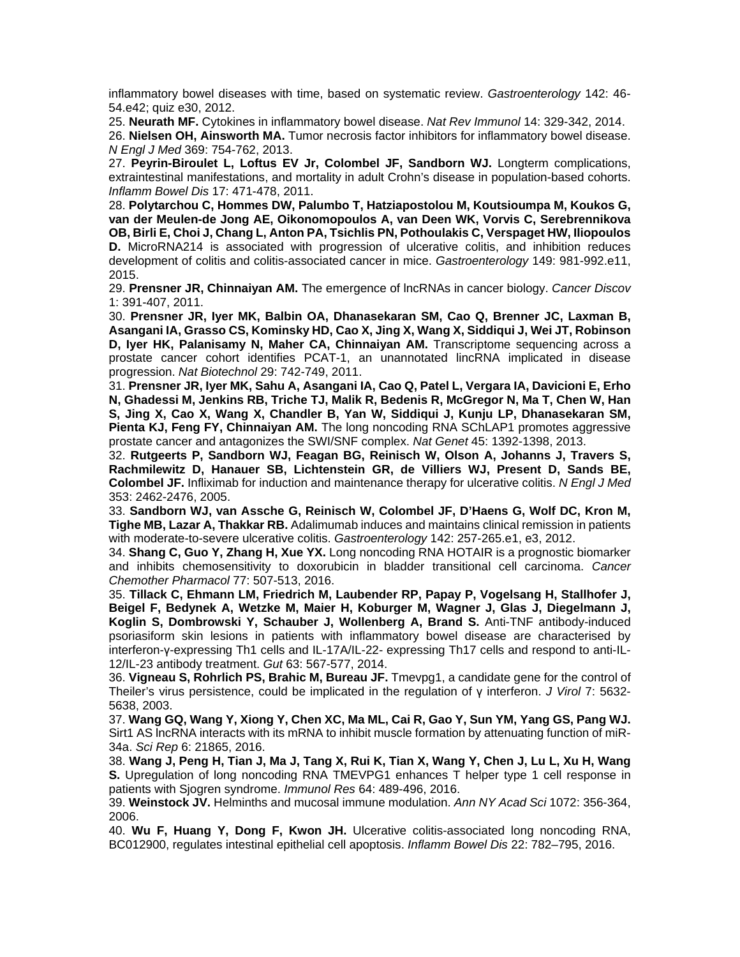inflammatory bowel diseases with time, based on systematic review. *Gastroenterology* 142: 46- 54.e42; quiz e30, 2012.

25. **Neurath MF.** Cytokines in inflammatory bowel disease. *Nat Rev Immunol* 14: 329-342, 2014.

26. **Nielsen OH, Ainsworth MA.** Tumor necrosis factor inhibitors for inflammatory bowel disease. *N Engl J Med* 369: 754-762, 2013.

27. **Peyrin-Biroulet L, Loftus EV Jr, Colombel JF, Sandborn WJ.** Longterm complications, extraintestinal manifestations, and mortality in adult Crohn's disease in population-based cohorts. *Inflamm Bowel Dis* 17: 471-478, 2011.

28. **Polytarchou C, Hommes DW, Palumbo T, Hatziapostolou M, Koutsioumpa M, Koukos G, van der Meulen-de Jong AE, Oikonomopoulos A, van Deen WK, Vorvis C, Serebrennikova OB, Birli E, Choi J, Chang L, Anton PA, Tsichlis PN, Pothoulakis C, Verspaget HW, Iliopoulos D.** MicroRNA214 is associated with progression of ulcerative colitis, and inhibition reduces development of colitis and colitis-associated cancer in mice. *Gastroenterology* 149: 981-992.e11, 2015.

29. **Prensner JR, Chinnaiyan AM.** The emergence of lncRNAs in cancer biology. *Cancer Discov*  1: 391-407, 2011.

30. **Prensner JR, Iyer MK, Balbin OA, Dhanasekaran SM, Cao Q, Brenner JC, Laxman B, Asangani IA, Grasso CS, Kominsky HD, Cao X, Jing X, Wang X, Siddiqui J, Wei JT, Robinson D, Iyer HK, Palanisamy N, Maher CA, Chinnaiyan AM.** Transcriptome sequencing across a prostate cancer cohort identifies PCAT-1, an unannotated lincRNA implicated in disease progression. *Nat Biotechnol* 29: 742-749, 2011.

31. **Prensner JR, Iyer MK, Sahu A, Asangani IA, Cao Q, Patel L, Vergara IA, Davicioni E, Erho N, Ghadessi M, Jenkins RB, Triche TJ, Malik R, Bedenis R, McGregor N, Ma T, Chen W, Han S, Jing X, Cao X, Wang X, Chandler B, Yan W, Siddiqui J, Kunju LP, Dhanasekaran SM, Pienta KJ, Feng FY, Chinnaiyan AM.** The long noncoding RNA SChLAP1 promotes aggressive prostate cancer and antagonizes the SWI/SNF complex. *Nat Genet* 45: 1392-1398, 2013.

32. **Rutgeerts P, Sandborn WJ, Feagan BG, Reinisch W, Olson A, Johanns J, Travers S, Rachmilewitz D, Hanauer SB, Lichtenstein GR, de Villiers WJ, Present D, Sands BE, Colombel JF.** Infliximab for induction and maintenance therapy for ulcerative colitis. *N Engl J Med* 353: 2462-2476, 2005.

33. **Sandborn WJ, van Assche G, Reinisch W, Colombel JF, D'Haens G, Wolf DC, Kron M, Tighe MB, Lazar A, Thakkar RB.** Adalimumab induces and maintains clinical remission in patients with moderate-to-severe ulcerative colitis. *Gastroenterology* 142: 257-265.e1, e3, 2012.

34. **Shang C, Guo Y, Zhang H, Xue YX.** Long noncoding RNA HOTAIR is a prognostic biomarker and inhibits chemosensitivity to doxorubicin in bladder transitional cell carcinoma. *Cancer Chemother Pharmacol* 77: 507-513, 2016.

35. **Tillack C, Ehmann LM, Friedrich M, Laubender RP, Papay P, Vogelsang H, Stallhofer J, Beigel F, Bedynek A, Wetzke M, Maier H, Koburger M, Wagner J, Glas J, Diegelmann J, Koglin S, Dombrowski Y, Schauber J, Wollenberg A, Brand S.** Anti-TNF antibody-induced psoriasiform skin lesions in patients with inflammatory bowel disease are characterised by interferon-γ-expressing Th1 cells and IL-17A/IL-22- expressing Th17 cells and respond to anti-IL-12/IL-23 antibody treatment. *Gut* 63: 567-577, 2014.

36. **Vigneau S, Rohrlich PS, Brahic M, Bureau JF.** Tmevpg1, a candidate gene for the control of Theiler's virus persistence, could be implicated in the regulation of γ interferon. *J Virol* 7: 5632- 5638, 2003.

37. **Wang GQ, Wang Y, Xiong Y, Chen XC, Ma ML, Cai R, Gao Y, Sun YM, Yang GS, Pang WJ.**  Sirt1 AS lncRNA interacts with its mRNA to inhibit muscle formation by attenuating function of miR-34a. *Sci Rep* 6: 21865, 2016.

38. **Wang J, Peng H, Tian J, Ma J, Tang X, Rui K, Tian X, Wang Y, Chen J, Lu L, Xu H, Wang S.** Upregulation of long noncoding RNA TMEVPG1 enhances T helper type 1 cell response in patients with Sjogren syndrome. *Immunol Res* 64: 489-496, 2016.

39. **Weinstock JV.** Helminths and mucosal immune modulation. *Ann NY Acad Sci* 1072: 356-364, 2006.

40. **Wu F, Huang Y, Dong F, Kwon JH.** Ulcerative colitis-associated long noncoding RNA, BC012900, regulates intestinal epithelial cell apoptosis. *Inflamm Bowel Dis* 22: 782–795, 2016.